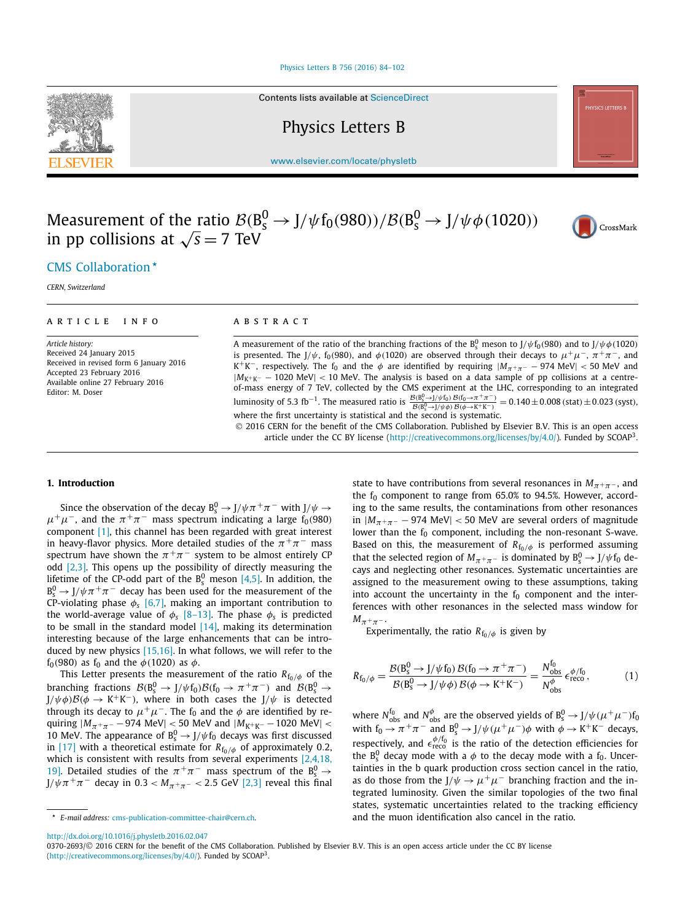#### [Physics Letters B 756 \(2016\) 84–102](http://dx.doi.org/10.1016/j.physletb.2016.02.047)

Contents lists available at [ScienceDirect](http://www.ScienceDirect.com/)

Physics Letters B

[www.elsevier.com/locate/physletb](http://www.elsevier.com/locate/physletb)



# <span id="page-0-0"></span>Measurement of the ratio  $\mathcal{B}(B_s^0 \to J/\psi f_0(980))/\mathcal{B}(B_s^0 \to J/\psi \phi(1020))$ in pp collisions at  $\sqrt{s}$  = 7 TeV



## CMS [Collaboration](#page-4-0)<sup>\*</sup>

*CERN, Switzerland*

| ARTICLE INFO |  | <b>ABSTRACT</b> |  |
|--------------|--|-----------------|--|
|--------------|--|-----------------|--|

*Article history:* Received 24 January 2015 Received in revised form 6 January 2016 Accepted 23 February 2016 Available online 27 February 2016 Editor: M. Doser

A measurement of the ratio of the branching fractions of the  $B_s^0$  meson to J/ $\psi f_0(980)$  and to J/ $\psi \phi(1020)$ is presented. The J/ $\psi$ , f<sub>0</sub>(980), and  $\phi$ (1020) are observed through their decays to  $\mu^+\mu^-$ ,  $\pi^+\pi^-$ , and K<sup>+</sup>K<sup>−</sup>, respectively. The f<sub>0</sub> and the  $\phi$  are identified by requiring  $|M_{\pi+\pi}$  – 974 MeV| < 50 MeV and  $|M_{K^+K^-}$  − 1020 MeV| < 10 MeV. The analysis is based on a data sample of pp collisions at a centreof-mass energy of 7 TeV, collected by the CMS experiment at the LHC, corresponding to an integrated luminosity of 5.3 fb<sup>-1</sup>. The measured ratio is  $\frac{\mathcal{B}(B_s^0 \to J/\psi f_0) \mathcal{B}(f_0 \to \pi^+ \pi^-)}{\mathcal{B}(B_s^0 \to J/\psi \phi) \mathcal{B}(\phi \to K^+ K^-)} = 0.140 \pm 0.008 \text{ (stat)} \pm 0.023 \text{ (syst)}$ where the first uncertainty is statistical and the second is systematic.

© 2016 CERN for the benefit of the CMS Collaboration. Published by Elsevier B.V. This is an open access article under the CC BY license [\(http://creativecommons.org/licenses/by/4.0/\)](http://creativecommons.org/licenses/by/4.0/). Funded by SCOAP3.

#### **1. Introduction**

Since the observation of the decay  $B_s^0 \to J/\psi \pi^+ \pi^-$  with  $J/\psi \to \pi^ \mu^+\mu^-$ , and the  $\pi^+\pi^-$  mass spectrum indicating a large f<sub>0</sub>(980) component [\[1\],](#page-3-0) this channel has been regarded with great interest in heavy-flavor physics. More detailed studies of the  $\pi^+\pi^-$  mass spectrum have shown the  $\pi^{+}\pi^{-}$  system to be almost entirely CP odd [\[2,3\].](#page-3-0) This opens up the possibility of directly measuring the lifetime of the CP-odd part of the  $B_s^0$  meson [\[4,5\].](#page-3-0) In addition, the  $B_s^0 \rightarrow J/\psi \pi^+ \pi^-$  decay has been used for the measurement of the CP-violating phase  $\phi_s$  [\[6,7\],](#page-3-0) making an important contribution to the world-average value of  $\phi_s$  [\[8–13\].](#page-3-0) The phase  $\phi_s$  is predicted to be small in the standard model [\[14\],](#page-4-0) making its determination interesting because of the large enhancements that can be introduced by new physics [\[15,16\].](#page-4-0) In what follows, we will refer to the  $f_0(980)$  as  $f_0$  and the  $\phi(1020)$  as  $\phi$ .

This Letter presents the measurement of the ratio  $R_{f_0/\phi}$  of the branching fractions  $\mathcal{B}(B_s^0 \to J/\psi f_0) \mathcal{B}(f_0 \to \pi^+ \pi^-)$  and  $\mathcal{B}(B_s^0 \to$  $J/\psi \phi$ *)B*( $\phi \rightarrow K^{+}K^{-}$ ), where in both cases the  $J/\psi$  is detected through its decay to  $\mu^+\mu^-$ . The f<sub>0</sub> and the  $\phi$  are identified by requiring  $|M_{\pi^+\pi^-} - 974 \text{ MeV}| < 50 \text{ MeV}$  and  $|M_{K^+K^-} - 1020 \text{ MeV}| <$ 10 MeV. The appearance of  $B_s^0 \rightarrow J/\psi f_0$  decays was first discussed in [\[17\]](#page-4-0) with a theoretical estimate for  $R_{f_0/\phi}$  of approximately 0.2, which is consistent with results from several experiments [\[2,4,18,](#page-3-0) [19\].](#page-3-0) Detailed studies of the  $\pi^+\pi^-$  mass spectrum of the B<sup>0</sup><sub>s</sub> →  $J/\psi \pi^+ \pi^-$  decay in 0.3 <  $M_{\pi^+ \pi^-}$  < 2.5 GeV [\[2,3\]](#page-3-0) reveal this final

state to have contributions from several resonances in  $M_{\pi^+\pi^-}$ , and the  $f_0$  component to range from  $65.0%$  to  $94.5%$ . However, according to the same results, the contaminations from other resonances in  $|M_{\pi^+\pi^-}$  − 974 MeV| < 50 MeV are several orders of magnitude lower than the  $f_0$  component, including the non-resonant S-wave. Based on this, the measurement of  $R_{f_0/\phi}$  is performed assuming that the selected region of  $M_{\pi^+\pi^-}$  is dominated by  $B_s^0 \rightarrow J/\psi f_0$  decays and neglecting other resonances. Systematic uncertainties are assigned to the measurement owing to these assumptions, taking into account the uncertainty in the  $f_0$  component and the interferences with other resonances in the selected mass window for  $M_{\pi^{+}\pi^{-}}$ .

Experimentally, the ratio  $R_{f_0/\phi}$  is given by

$$
R_{\text{f}_0/\phi} = \frac{\mathcal{B}(B_s^0 \to J/\psi \text{f}_0) \mathcal{B}(\text{f}_0 \to \pi^+ \pi^-)}{\mathcal{B}(B_s^0 \to J/\psi \phi) \mathcal{B}(\phi \to K^+ K^-)} = \frac{N_{\text{obs}}^{\text{f}_0}}{N_{\text{obs}}^{\phi}} \epsilon_{\text{reco}}^{\phi/\text{f}_0},\tag{1}
$$

where  $N_{\text{obs}}^{\text{f}_0}$  and  $N_{\text{obs}}^{\phi}$  are the observed yields of  $B_s^0 \rightarrow J/\psi(\mu^+\mu^-)f_0$ with  $f_0 \to \pi^+\pi^-$  and  $B_s^0 \to J/\psi(\mu^+\mu^-)\phi$  with  $\phi \to K^+K^-$  decays, respectively, and  $\epsilon_{\text{reco}}^{\phi/f_0}$  is the ratio of the detection efficiencies for the  $B_s^0$  decay mode with a  $\phi$  to the decay mode with a f<sub>0</sub>. Uncertainties in the b quark production cross section cancel in the ratio, as do those from the *J/* $\psi \rightarrow \mu^+ \mu^-$  branching fraction and the integrated luminosity. Given the similar topologies of the two final states, systematic uncertainties related to the tracking efficiency and the muon identification also cancel in the ratio.

<http://dx.doi.org/10.1016/j.physletb.2016.02.047>

*E-mail address:* [cms-publication-committee-chair@cern.ch](mailto:cms-publication-committee-chair@cern.ch).

<sup>0370-2693/© 2016</sup> CERN for the benefit of the CMS Collaboration. Published by Elsevier B.V. This is an open access article under the CC BY license [\(http://creativecommons.org/licenses/by/4.0/\)](http://creativecommons.org/licenses/by/4.0/). Funded by SCOAP3.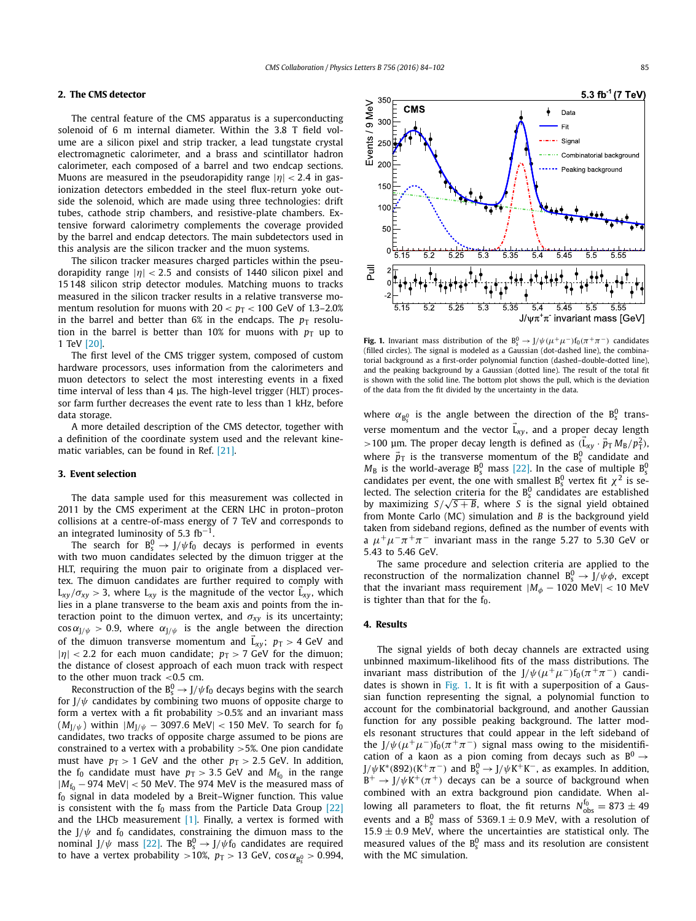350

**CMS** 

#### **2. The CMS detector**

The central feature of the CMS apparatus is a superconducting solenoid of 6 m internal diameter. Within the 3.8 T field volume are a silicon pixel and strip tracker, a lead tungstate crystal electromagnetic calorimeter, and a brass and scintillator hadron calorimeter, each composed of a barrel and two endcap sections. Muons are measured in the pseudorapidity range |*η*| *<* <sup>2</sup>*.*4 in gasionization detectors embedded in the steel flux-return yoke outside the solenoid, which are made using three technologies: drift tubes, cathode strip chambers, and resistive-plate chambers. Extensive forward calorimetry complements the coverage provided by the barrel and endcap detectors. The main subdetectors used in this analysis are the silicon tracker and the muon systems.

The silicon tracker measures charged particles within the pseudorapidity range |*η*| *<* <sup>2</sup>*.*5 and consists of <sup>1440</sup> silicon pixel and 15 148 silicon strip detector modules. Matching muons to tracks measured in the silicon tracker results in a relative transverse momentum resolution for muons with  $20 < p_T < 100$  GeV of 1.3–2.0% in the barrel and better than  $6\%$  in the endcaps. The  $p_T$  resolution in the barrel is better than 10% for muons with  $p_T$  up to 1 TeV [\[20\].](#page-4-0)

The first level of the CMS trigger system, composed of custom hardware processors, uses information from the calorimeters and muon detectors to select the most interesting events in a fixed time interval of less than 4 μs. The high-level trigger (HLT) processor farm further decreases the event rate to less than 1 kHz, before data storage.

A more detailed description of the CMS detector, together with a definition of the coordinate system used and the relevant kinematic variables, can be found in Ref. [\[21\].](#page-4-0)

#### **3. Event selection**

The data sample used for this measurement was collected in 2011 by the CMS experiment at the CERN LHC in proton–proton collisions at a centre-of-mass energy of 7 TeV and corresponds to an integrated luminosity of 5.3  $fb^{-1}$ .

The search for  $B_s^0 \rightarrow J/\psi f_0$  decays is performed in events with two muon candidates selected by the dimuon trigger at the HLT, requiring the muon pair to originate from a displaced vertex. The dimuon candidates are further required to comply with  $L_{xy}/\sigma_{xy} > 3$ , where  $L_{xy}$  is the magnitude of the vector  $L_{xy}$ , which lies in a plane transverse to the beam axis and points from the interaction point to the dimuon vertex, and  $\sigma_{xy}$  is its uncertainty;  $\cos \alpha_{J/\psi} > 0.9$ , where  $\alpha_{J/\psi}$  is the angle between the direction of the dimuon transverse momentum and  $L_{xy}$ ;  $p_T > 4$  GeV and  $|\eta|$  < 2.2 for each muon candidate;  $p_T > 7$  GeV for the dimuon; the distance of closest approach of each muon track with respect to the other muon track *<*0.5 cm.

Reconstruction of the  $B_s^0 \rightarrow J/\psi f_0$  decays begins with the search for  $J/\psi$  candidates by combining two muons of opposite charge to form a vertex with a fit probability *>*0.5% and an invariant mass  $(M_{J/\psi})$  within  $|M_{J/\psi} - 3097.6 \text{ MeV}| < 150 \text{ MeV}$ . To search for f<sub>0</sub> candidates, two tracks of opposite charge assumed to be pions are constrained to a vertex with a probability *>*5%. One pion candidate must have  $p_T > 1$  GeV and the other  $p_T > 2.5$  GeV. In addition, the f<sub>0</sub> candidate must have  $p_T > 3.5$  GeV and  $M_{f_0}$  in the range |*M*<sub>f0</sub> − 974 MeV| < 50 MeV. The 974 MeV is the measured mass of  $f_0$  signal in data modeled by a Breit–Wigner function. This value is consistent with the  $f_0$  mass from the Particle Data Group [\[22\]](#page-4-0) and the LHCb measurement  $[1]$ . Finally, a vertex is formed with the  $J/\psi$  and f<sub>0</sub> candidates, constraining the dimuon mass to the nominal J/ $\psi$  mass [\[22\].](#page-4-0) The  $B_s^0 \rightarrow J/\psi f_0$  candidates are required to have a vertex probability  $>10\%$ ,  $p_T > 13$  GeV,  $\cos \alpha_{\mathrm{B^0_S}} > 0.994$ ,



**Fig. 1.** Invariant mass distribution of the  $B_s^0 \rightarrow J/\psi(\mu^+\mu^-)f_0(\pi^+\pi^-)$  candidates (filled circles). The signal is modeled as a Gaussian (dot-dashed line), the combinatorial background as a first-order polynomial function (dashed–double-dotted line), and the peaking background by a Gaussian (dotted line). The result of the total fit is shown with the solid line. The bottom plot shows the pull, which is the deviation of the data from the fit divided by the uncertainty in the data.

where  $\alpha_{B_s^0}$  is the angle between the direction of the  $B_s^0$  transverse momentum and the vector L*xy* , and a proper decay length  $>$  100 µm. The proper decay length is defined as  $(\vec{L}_{xy} \cdot \vec{p}_{T} M_{B}/p_{T}^2)$ , where  $\vec{p}_T$  is the transverse momentum of the  $B_s^0$  candidate and  $M_{\rm B}$  is the world-average  $B_{\rm s}^0$  mass [\[22\].](#page-4-0) In the case of multiple  $B_{\rm s}^0$ candidates per event, the one with smallest  $B_s^0$  vertex fit  $\chi^2$  is selected. The selection criteria for the  $B_s^0$  candidates are established by maximizing  $S/\sqrt{S+B}$ , where *S* is the signal yield obtained from Monte Carlo (MC) simulation and *B* is the background yield taken from sideband regions, defined as the number of events with a  $\mu^+\mu^-\pi^+\pi^-$  invariant mass in the range 5.27 to 5.30 GeV or 5*.*43 to 5.46 GeV.

The same procedure and selection criteria are applied to the reconstruction of the normalization channel  $B_s^0 \rightarrow J/\psi \phi$ , except that the invariant mass requirement  $|M_{\phi} - 1020 \text{ MeV}| < 10 \text{ MeV}$ is tighter than that for the  $f_0$ .

#### **4. Results**

The signal yields of both decay channels are extracted using unbinned maximum-likelihood fits of the mass distributions. The invariant mass distribution of the  $J/\psi(\mu^+\mu^-)f_0(\pi^+\pi^-)$  candidates is shown in Fig. 1. It is fit with a superposition of a Gaussian function representing the signal, a polynomial function to account for the combinatorial background, and another Gaussian function for any possible peaking background. The latter models resonant structures that could appear in the left sideband of the J/ $\psi(\mu^+\mu^-)f_0(\pi^+\pi^-)$  signal mass owing to the misidentification of a kaon as a pion coming from decays such as  $B^0 \rightarrow$  $J/\psi K^*(892)(K^+\pi^-)$  and  $B_s^0 \to J/\psi K^+K^-$ , as examples. In addition,  $B^+ \rightarrow J/\psi K^+ (\pi^+ )$  decays can be a source of background when combined with an extra background pion candidate. When allowing all parameters to float, the fit returns  $N_{\rm obs}^{\rm f_0} = 873 \pm 49$ events and a  $B_s^0$  mass of 5369.1  $\pm$  0.9 MeV, with a resolution of  $15.9 \pm 0.9$  MeV, where the uncertainties are statistical only. The measured values of the  $B_s^0$  mass and its resolution are consistent with the MC simulation.

5.3 fb<sup>-1</sup> (7 TeV)

ŧ. Data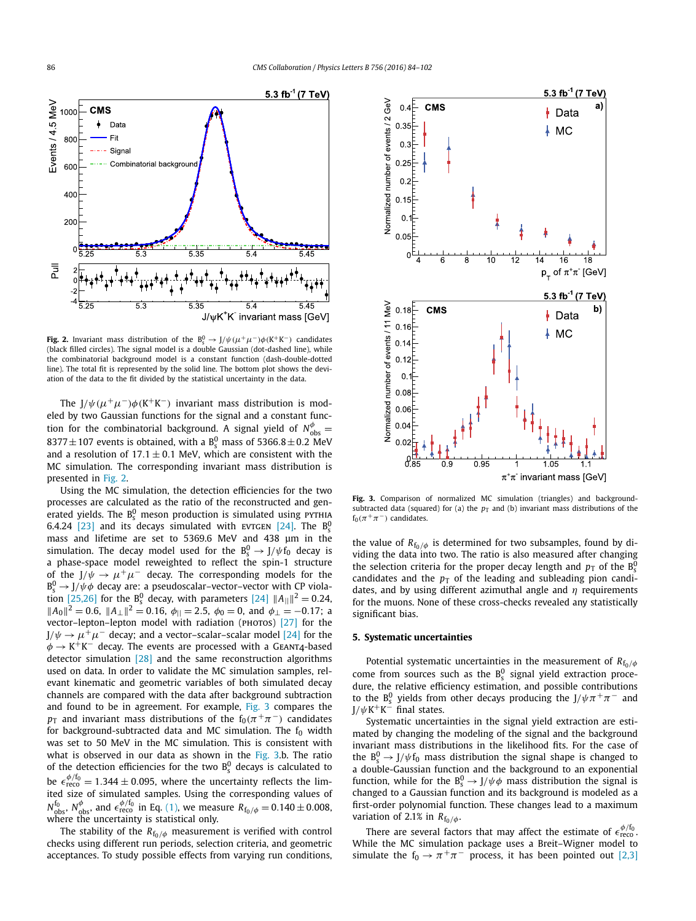

**Fig. 2.** Invariant mass distribution of the  $B_s^0 \rightarrow J/\psi(\mu^+\mu^-)\phi(K^+K^-)$  candidates (black filled circles). The signal model is a double Gaussian (dot-dashed line), while the combinatorial background model is a constant function (dash-double-dotted line). The total fit is represented by the solid line. The bottom plot shows the deviation of the data to the fit divided by the statistical uncertainty in the data.

The  $J/\psi(\mu^+\mu^-)\phi(K^+K^-)$  invariant mass distribution is modeled by two Gaussian functions for the signal and a constant function for the combinatorial background. A signal yield of  $N^{\phi}_{\rm obs} =$  $8377 \pm 107$  events is obtained, with a  $B_s^0$  mass of 5366.8 $\pm$ 0.2 MeV and a resolution of  $17.1 \pm 0.1$  MeV, which are consistent with the MC simulation. The corresponding invariant mass distribution is presented in Fig. 2.

Using the MC simulation, the detection efficiencies for the two processes are calculated as the ratio of the reconstructed and generated yields. The  $B_s^0$  meson production is simulated using PYTHIA 6.4.24 [\[23\]](#page-4-0) and its decays simulated with EVTGEN [\[24\].](#page-4-0) The  $B_s^0$ mass and lifetime are set to 5369.6 MeV and 438 μm in the simulation. The decay model used for the  $B_s^0 \rightarrow J/\psi f_0$  decay is a phase-space model reweighted to reflect the spin-1 structure of the  $J/\psi \rightarrow \mu^+\mu^-$  decay. The corresponding models for the B<sub>S</sub><sup>0</sup> → J/ψφ decay are: a pseudoscalar–vector–vector with CP viola-tion [\[25,26\]](#page-4-0) for the  $B_s^0$  decay, with parameters [\[24\]](#page-4-0)  $||A_{||}||^2 = 0.24$ ,  $||A_0||^2 = 0.6$ ,  $||A_\perp||^2 = 0.16$ ,  $\phi_{||} = 2.5$ ,  $\phi_0 = 0$ , and  $\phi_{\perp} = -0.17$ ; a vector-lepton-lepton model with radiation (PHOTOS) [\[27\]](#page-4-0) for the  $J/\psi \rightarrow \mu^+\mu^-$  decay; and a vector–scalar–scalar model [\[24\]](#page-4-0) for the  $\phi \rightarrow K^{+}K^{-}$  decay. The events are processed with a GEANT4-based detector simulation [\[28\]](#page-4-0) and the same reconstruction algorithms used on data. In order to validate the MC simulation samples, relevant kinematic and geometric variables of both simulated decay channels are compared with the data after background subtraction and found to be in agreement. For example, Fig. 3 compares the *p*<sub>T</sub> and invariant mass distributions of the  $f_0(\pi^+\pi^-)$  candidates for background-subtracted data and MC simulation. The  $f_0$  width was set to 50 MeV in the MC simulation. This is consistent with what is observed in our data as shown in the Fig. 3.b. The ratio of the detection efficiencies for the two  $\mathtt{B^0_s}$  decays is calculated to be  $\epsilon_{\text{reco}}^{\phi/f_0} = 1.344 \pm 0.095$ , where the uncertainty reflects the limited size of simulated samples. Using the corresponding values of  $N_{\rm obs}^{\rm f_0},\,N_{\rm obs}^{\phi}$ , and  $\epsilon_{\rm reco}^{\phi/f_0}$  in Eq. [\(1\),](#page-0-0) we measure  $R_{\rm f_0/\phi}=0.140\pm0.008,$ where the uncertainty is statistical only.

The stability of the  $R_{f_0/\phi}$  measurement is verified with control checks using different run periods, selection criteria, and geometric acceptances. To study possible effects from varying run conditions,



Fig. 3. Comparison of normalized MC simulation (triangles) and backgroundsubtracted data (squared) for (a) the  $p<sub>T</sub>$  and (b) invariant mass distributions of the  $f_0(\pi^+\pi^-)$  candidates.

the value of  $R_{f_0/\phi}$  is determined for two subsamples, found by dividing the data into two. The ratio is also measured after changing the selection criteria for the proper decay length and  $p_T$  of the  $B_s^0$ candidates and the  $p_T$  of the leading and subleading pion candidates, and by using different azimuthal angle and *η* requirements for the muons. None of these cross-checks revealed any statistically significant bias.

#### **5. Systematic uncertainties**

Potential systematic uncertainties in the measurement of  $R_{f_0/\phi}$ come from sources such as the  $B_s^0$  signal yield extraction procedure, the relative efficiency estimation, and possible contributions to the  $B_s^0$  yields from other decays producing the J/ $\psi \pi^+ \pi^-$  and J*/ψ*K+K− final states.

Systematic uncertainties in the signal yield extraction are estimated by changing the modeling of the signal and the background invariant mass distributions in the likelihood fits. For the case of the  $B_s^0 \rightarrow J/\psi f_0$  mass distribution the signal shape is changed to a double-Gaussian function and the background to an exponential function, while for the  $B_s^0 \rightarrow J/\psi \phi$  mass distribution the signal is changed to a Gaussian function and its background is modeled as a first-order polynomial function. These changes lead to a maximum variation of 2.1% in  $R_{f_0/\phi}$ .

There are several factors that may affect the estimate of  $\epsilon_{\text{reco}}^{\phi/f_0}$ . While the MC simulation package uses a Breit–Wigner model to simulate the  $f_0 \rightarrow \pi^+\pi^-$  process, it has been pointed out [\[2,3\]](#page-3-0)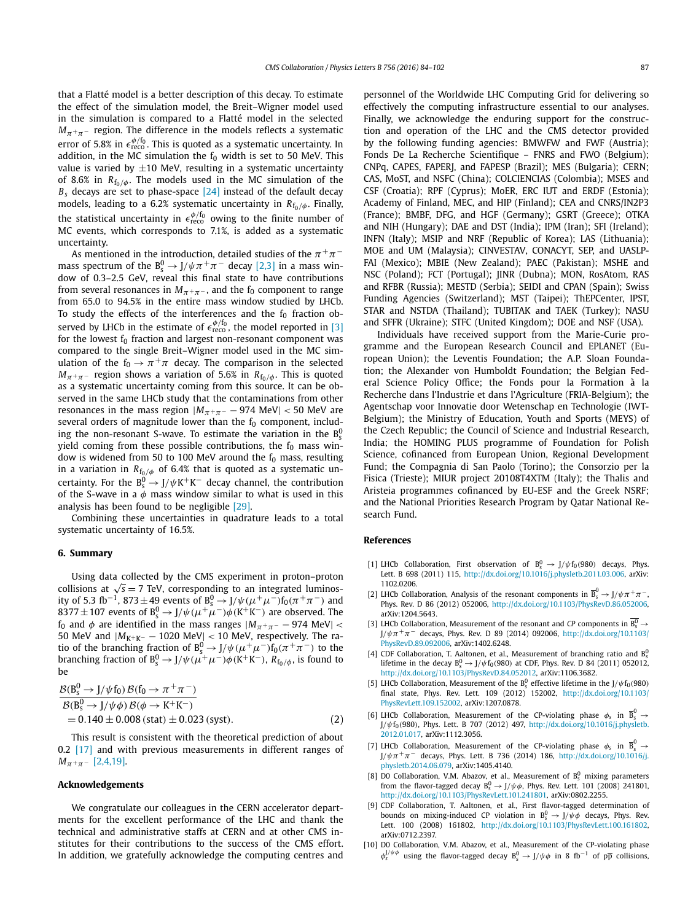<span id="page-3-0"></span>that a Flatté model is a better description of this decay. To estimate the effect of the simulation model, the Breit–Wigner model used in the simulation is compared to a Flatté model in the selected  $M_{\pi^+\pi^-}$  region. The difference in the models reflects a systematic error of 5.8% in  $\epsilon_{\text{reco}}^{\phi/f_0}$ . This is quoted as a systematic uncertainty. In addition, in the MC simulation the  $f_0$  width is set to 50 MeV. This value is varied by  $\pm 10$  MeV, resulting in a systematic uncertainty of 8.6% in  $R_{f_0/\phi}$ . The models used in the MC simulation of the *Bs* decays are set to phase-space [\[24\]](#page-4-0) instead of the default decay models, leading to a 6.2% systematic uncertainty in  $R_{f_0/\phi}$ . Finally, the statistical uncertainty in  $\epsilon_{\text{reco}}^{\phi/f_0}$  owing to the finite number of MC events, which corresponds to 7.1%, is added as a systematic uncertainty.

As mentioned in the introduction, detailed studies of the  $\pi^+\pi^$ mass spectrum of the  $B_s^0 \rightarrow J/\psi \pi^+ \pi^-$  decay [2,3] in a mass window of 0.3–2.5 GeV, reveal this final state to have contributions from several resonances in  $M_{\pi^+\pi^-}$ , and the f<sub>0</sub> component to range from 65.0 to 94.5% in the entire mass window studied by LHCb. To study the effects of the interferences and the  $f_0$  fraction observed by LHCb in the estimate of  $\epsilon_{\text{reco}}^{\phi/f_0}$ , the model reported in [3] for the lowest  $f_0$  fraction and largest non-resonant component was compared to the single Breit–Wigner model used in the MC simulation of the  $f_0 \rightarrow \pi^+\pi$  decay. The comparison in the selected  $M_{\pi^+\pi^-}$  region shows a variation of 5.6% in  $R_{f_0/\phi}$ . This is quoted as a systematic uncertainty coming from this source. It can be observed in the same LHCb study that the contaminations from other resonances in the mass region |*Mπ*+*π*<sup>−</sup> − 974 MeV| *<* 50 MeV are several orders of magnitude lower than the  $f_0$  component, including the non-resonant S-wave. To estimate the variation in the  $B_s^0$ yield coming from these possible contributions, the  $f_0$  mass window is widened from 50 to 100 MeV around the  $f_0$  mass, resulting in a variation in  $R_{f_0/\phi}$  of 6.4% that is quoted as a systematic uncertainty. For the  $B_s^0 \rightarrow J/\psi K^+ K^-$  decay channel, the contribution of the S-wave in a  $\phi$  mass window similar to what is used in this analysis has been found to be negligible [\[29\].](#page-4-0)

Combining these uncertainties in quadrature leads to a total systematic uncertainty of 16.5%.

#### **6. Summary**

Using data collected by the CMS experiment in proton–proton collisions at  $\sqrt{s}$  = 7 TeV, corresponding to an integrated luminosity of 5.3 fb<sup>-1</sup>, 873±49 events of  $B_s^0$  → J/ $\psi(\mu^+\mu^-)$ f<sub>0</sub>(π<sup>+</sup>π<sup>−</sup>) and  $8377 \pm 107$  events of  $B_s^0 \rightarrow J/\psi(\mu^+\mu^-)\phi(K^+K^-)$  are observed. The f<sub>0</sub> and  $\phi$  are identified in the mass ranges  $|M_{\pi^+\pi^-} - 974$  MeV| < 50 MeV and  $|M_{K^+K^-}$  − 1020 MeV| < 10 MeV, respectively. The ratio of the branching fraction of  $B_s^0 \to J/\psi(\mu^+\mu^-)f_0(\pi^+\pi^-)$  to the branching fraction of  $B_s^0 \to J/\psi(\mu^+\mu^-)\phi(K^+K^-)$ ,  $R_{f_0/\phi}$ , is found to be

$$
\frac{\mathcal{B}(B_s^0 \to J/\psi f_0) \, \mathcal{B}(f_0 \to \pi^+ \pi^-)}{\mathcal{B}(B_s^0 \to J/\psi \phi) \, \mathcal{B}(\phi \to K^+ K^-)} = 0.140 \pm 0.008 \, \text{(stat)} \pm 0.023 \, \text{(syst)}.
$$
\n(2)

This result is consistent with the theoretical prediction of about 0.2 [\[17\]](#page-4-0) and with previous measurements in different ranges of *Mπ*+*π*<sup>−</sup> [2,4,19].

#### **Acknowledgements**

We congratulate our colleagues in the CERN accelerator departments for the excellent performance of the LHC and thank the technical and administrative staffs at CERN and at other CMS institutes for their contributions to the success of the CMS effort. In addition, we gratefully acknowledge the computing centres and personnel of the Worldwide LHC Computing Grid for delivering so effectively the computing infrastructure essential to our analyses. Finally, we acknowledge the enduring support for the construction and operation of the LHC and the CMS detector provided by the following funding agencies: BMWFW and FWF (Austria); Fonds De La Recherche Scientifique – FNRS and FWO (Belgium); CNPq, CAPES, FAPERJ, and FAPESP (Brazil); MES (Bulgaria); CERN; CAS, MoST, and NSFC (China); COLCIENCIAS (Colombia); MSES and CSF (Croatia); RPF (Cyprus); MoER, ERC IUT and ERDF (Estonia); Academy of Finland, MEC, and HIP (Finland); CEA and CNRS/IN2P3 (France); BMBF, DFG, and HGF (Germany); GSRT (Greece); OTKA and NIH (Hungary); DAE and DST (India); IPM (Iran); SFI (Ireland); INFN (Italy); MSIP and NRF (Republic of Korea); LAS (Lithuania); MOE and UM (Malaysia); CINVESTAV, CONACYT, SEP, and UASLP-FAI (Mexico); MBIE (New Zealand); PAEC (Pakistan); MSHE and NSC (Poland); FCT (Portugal); JINR (Dubna); MON, RosAtom, RAS and RFBR (Russia); MESTD (Serbia); SEIDI and CPAN (Spain); Swiss Funding Agencies (Switzerland); MST (Taipei); ThEPCenter, IPST, STAR and NSTDA (Thailand); TUBITAK and TAEK (Turkey); NASU and SFFR (Ukraine); STFC (United Kingdom); DOE and NSF (USA).

Individuals have received support from the Marie-Curie programme and the European Research Council and EPLANET (European Union); the Leventis Foundation; the A.P. Sloan Foundation; the Alexander von Humboldt Foundation; the Belgian Federal Science Policy Office; the Fonds pour la Formation à la Recherche dans l'Industrie et dans l'Agriculture (FRIA-Belgium); the Agentschap voor Innovatie door Wetenschap en Technologie (IWT-Belgium); the Ministry of Education, Youth and Sports (MEYS) of the Czech Republic; the Council of Science and Industrial Research, India; the HOMING PLUS programme of Foundation for Polish Science, cofinanced from European Union, Regional Development Fund; the Compagnia di San Paolo (Torino); the Consorzio per la Fisica (Trieste); MIUR project 20108T4XTM (Italy); the Thalis and Aristeia programmes cofinanced by EU-ESF and the Greek NSRF; and the National Priorities Research Program by Qatar National Research Fund.

#### **References**

- [1] LHCb Collaboration, First observation of  $B_s^0 \rightarrow J/\psi f_0(980)$  decays, Phys. Lett. B 698 (2011) 115, [http://dx.doi.org/10.1016/j.physletb.2011.03.006,](http://dx.doi.org/10.1016/j.physletb.2011.03.006) arXiv: 1102.0206.
- [2] LHCb Collaboration, Analysis of the resonant components in  $\overline{B}_s^0 \to J/\psi \pi^+ \pi^-$ , Phys. Rev. D 86 (2012) 052006, [http://dx.doi.org/10.1103/PhysRevD.86.052006,](http://dx.doi.org/10.1103/PhysRevD.86.052006) arXiv:1204.5643.
- [3] LHCb Collaboration, Measurement of the resonant and *CP* components in  $B_s^0 \rightarrow$ J*/ψπ*+*π*<sup>−</sup> decays, Phys. Rev. D 89 (2014) 092006, [http://dx.doi.org/10.1103/](http://dx.doi.org/10.1103/PhysRevD.89.092006) [PhysRevD.89.092006](http://dx.doi.org/10.1103/PhysRevD.89.092006), arXiv:1402.6248.
- [4] CDF Collaboration, T. Aaltonen, et al., Measurement of branching ratio and  $B_s^0$ lifetime in the decay  $B_s^0 \rightarrow J/\psi f_0(980)$  at CDF, Phys. Rev. D 84 (2011) 052012, <http://dx.doi.org/10.1103/PhysRevD.84.052012>, arXiv:1106.3682.
- [5] LHCb Collaboration, Measurement of the  $B_s^0$  effective lifetime in the J/ $\psi f_0(980)$ final state, Phys. Rev. Lett. 109 (2012) 152002, [http://dx.doi.org/10.1103/](http://dx.doi.org/10.1103/PhysRevLett.109.152002) [PhysRevLett.109.152002,](http://dx.doi.org/10.1103/PhysRevLett.109.152002) arXiv:1207.0878.
- [6] LHCb Collaboration, Measurement of the CP-violating phase  $\phi_s$  in  $\overline{B}_s^0 \rightarrow$ J*/ψ*f0*(*980*)*, Phys. Lett. B 707 (2012) 497, [http://dx.doi.org/10.1016/j.physletb.](http://dx.doi.org/10.1016/j.physletb.2012.01.017) [2012.01.017,](http://dx.doi.org/10.1016/j.physletb.2012.01.017) arXiv:1112.3056.
- [7] LHCb Collaboration, Measurement of the CP-violating phase  $\phi_s$  in  $\overline{B}_s^0 \rightarrow$ J*/ψπ*+*π*<sup>−</sup> decays, Phys. Lett. B 736 (2014) 186, [http://dx.doi.org/10.1016/j.](http://dx.doi.org/10.1016/j.physletb.2014.06.079) [physletb.2014.06.079,](http://dx.doi.org/10.1016/j.physletb.2014.06.079) arXiv:1405.4140.
- [8] D0 Collaboration, V.M. Abazov, et al., Measurement of  $B_s^0$  mixing parameters from the flavor-tagged decay  $B_s^0 \rightarrow J/\psi \phi$ , Phys. Rev. Lett. 101 (2008) 241801, <http://dx.doi.org/10.1103/PhysRevLett.101.241801>, arXiv:0802.2255.
- [9] CDF Collaboration, T. Aaltonen, et al., First flavor-tagged determination of bounds on mixing-induced CP violation in  $B_s^0 \rightarrow J/\psi \phi$  decays, Phys. Rev. Lett. 100 (2008) 161802, <http://dx.doi.org/10.1103/PhysRevLett.100.161802>, arXiv:0712.2397.
- [10] D0 Collaboration, V.M. Abazov, et al., Measurement of the CP-violating phase  $\phi_s^{J/\psi\phi}$  using the flavor-tagged decay  $B_s^0 \to J/\psi\phi$  in 8 fb<sup>-1</sup> of pp collisions,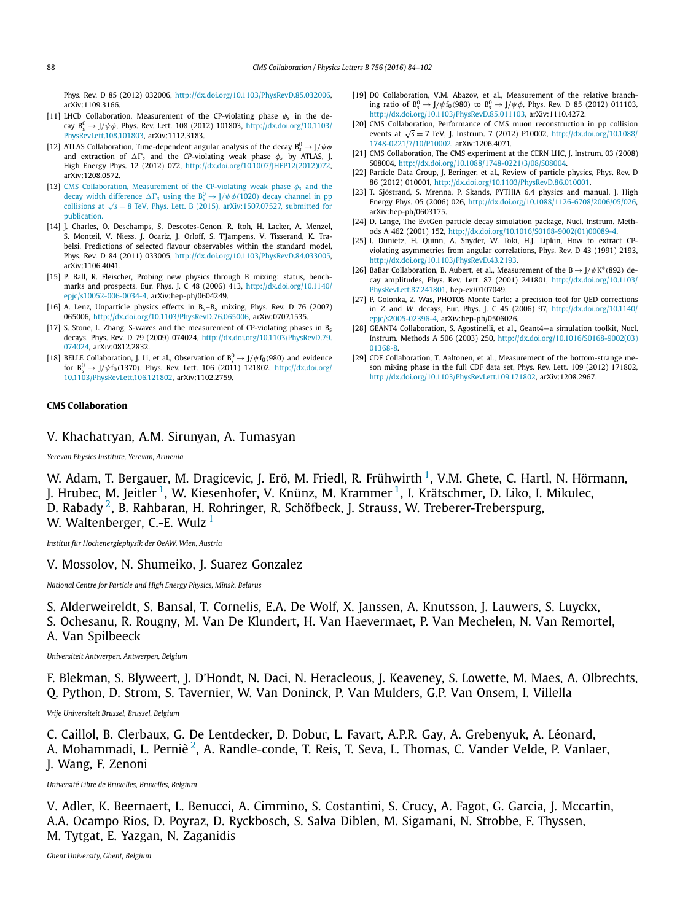<span id="page-4-0"></span>Phys. Rev. D 85 (2012) 032006, <http://dx.doi.org/10.1103/PhysRevD.85.032006>, arXiv:1109.3166.

- [11] LHCb Collaboration, Measurement of the CP-violating phase *φ<sup>s</sup>* in the de- $\text{cay } B^0_{\text{s}} \to \text{J}/\psi\phi$ , Phys. Rev. Lett. 108 (2012) 101803, [http://dx.doi.org/10.1103/](http://dx.doi.org/10.1103/PhysRevLett.108.101803) [PhysRevLett.108.101803,](http://dx.doi.org/10.1103/PhysRevLett.108.101803) arXiv:1112.3183.
- [12] ATLAS Collaboration, Time-dependent angular analysis of the decay  $B_s^0 \rightarrow J/\psi \phi$ and extraction of  $\Delta\Gamma_s$  and the *CP*-violating weak phase  $\phi_s$  by ATLAS, J. High Energy Phys. 12 (2012) 072, [http://dx.doi.org/10.1007/JHEP12\(2012\)072](http://dx.doi.org/10.1007/JHEP12(2012)072), arXiv:1208.0572.
- [13] CMS [Collaboration,](http://refhub.elsevier.com/S0370-2693(16)00143-X/bib434D5370686973s1) Measurement of the CP-violating weak phase  $\phi_s$  and the decay width [difference](http://refhub.elsevier.com/S0370-2693(16)00143-X/bib434D5370686973s1)  $\Delta\Gamma_s$  using the  $B_s^0 \rightarrow J/\psi \phi(1020)$  decay channel in pp collisions at  $\sqrt{s}$  = 8 TeV, Phys. Lett. B (2015), [arXiv:1507.07527,](http://refhub.elsevier.com/S0370-2693(16)00143-X/bib434D5370686973s1) submitted for [publication.](http://refhub.elsevier.com/S0370-2693(16)00143-X/bib434D5370686973s1)
- [14] J. Charles, O. Deschamps, S. Descotes-Genon, R. Itoh, H. Lacker, A. Menzel, S. Monteil, V. Niess, J. Ocariz, J. Orloff, S. T'Jampens, V. Tisserand, K. Trabelsi, Predictions of selected flavour observables within the standard model, Phys. Rev. D 84 (2011) 033005, <http://dx.doi.org/10.1103/PhysRevD.84.033005>, arXiv:1106.4041.
- [15] P. Ball, R. Fleischer, Probing new physics through B mixing: status, benchmarks and prospects, Eur. Phys. J. C 48 (2006) 413, [http://dx.doi.org/10.1140/](http://dx.doi.org/10.1140/epjc/s10052-006-0034-4) [epjc/s10052-006-0034-4](http://dx.doi.org/10.1140/epjc/s10052-006-0034-4), arXiv:hep-ph/0604249.
- [16] A. Lenz, Unparticle physics effects in  $B_s-\overline{B}_s$  mixing, Phys. Rev. D 76 (2007) 065006, <http://dx.doi.org/10.1103/PhysRevD.76.065006>, arXiv:0707.1535.
- [17] S. Stone, L. Zhang, S-waves and the measurement of CP-violating phases in  $B_s$ decays, Phys. Rev. D 79 (2009) 074024, [http://dx.doi.org/10.1103/PhysRevD.79.](http://dx.doi.org/10.1103/PhysRevD.79.074024) [074024,](http://dx.doi.org/10.1103/PhysRevD.79.074024) arXiv:0812.2832.
- [18] BELLE Collaboration, J. Li, et al., Observation of  $B_s^0 \rightarrow J/\psi f_0(980)$  and evidence for  $B_s^0 \to J/\psi f_0(1370)$ , Phys. Rev. Lett. 106 (2011) 121802, [http://dx.doi.org/](http://dx.doi.org/10.1103/PhysRevLett.106.121802) [10.1103/PhysRevLett.106.121802](http://dx.doi.org/10.1103/PhysRevLett.106.121802), arXiv:1102.2759.

#### **CMS Collaboration**

#### V. Khachatryan, A.M. Sirunyan, A. Tumasyan

*Yerevan Physics Institute, Yerevan, Armenia*

- [19] D0 Collaboration, V.M. Abazov, et al., Measurement of the relative branching ratio of  $B_s^0 \rightarrow J/\psi f_0(980)$  to  $B_s^0 \rightarrow J/\psi \phi$ , Phys. Rev. D 85 (2012) 011103, <http://dx.doi.org/10.1103/PhysRevD.85.011103>, arXiv:1110.4272.
- [20] CMS Collaboration, Performance of CMS muon reconstruction in pp collision events at <sup>√</sup>*<sup>s</sup>* <sup>=</sup> 7 TeV, J. Instrum. <sup>7</sup> (2012) P10002, [http://dx.doi.org/10.1088/](http://dx.doi.org/10.1088/1748-0221/7/10/P10002) [1748-0221/7/10/P10002](http://dx.doi.org/10.1088/1748-0221/7/10/P10002), arXiv:1206.4071.
- [21] CMS Collaboration, The CMS experiment at the CERN LHC, J. Instrum. 03 (2008) S08004, <http://dx.doi.org/10.1088/1748-0221/3/08/S08004>.
- [22] Particle Data Group, J. Beringer, et al., Review of particle physics, Phys. Rev. D 86 (2012) 010001, <http://dx.doi.org/10.1103/PhysRevD.86.010001>.
- [23] T. Sjöstrand, S. Mrenna, P. Skands, PYTHIA 6.4 physics and manual, J. High Energy Phys. 05 (2006) 026, <http://dx.doi.org/10.1088/1126-6708/2006/05/026>, arXiv:hep-ph/0603175.
- [24] D. Lange, The EvtGen particle decay simulation package, Nucl. Instrum. Methods A 462 (2001) 152, [http://dx.doi.org/10.1016/S0168-9002\(01\)00089-4.](http://dx.doi.org/10.1016/S0168-9002(01)00089-4)
- [25] I. Dunietz, H. Quinn, A. Snyder, W. Toki, H.J. Lipkin, How to extract CPviolating asymmetries from angular correlations, Phys. Rev. D 43 (1991) 2193, <http://dx.doi.org/10.1103/PhysRevD.43.2193>.
- [26] BaBar Collaboration, B. Aubert, et al., Measurement of the B →J*/ψ*K∗*(*892*)* decay amplitudes, Phys. Rev. Lett. 87 (2001) 241801, [http://dx.doi.org/10.1103/](http://dx.doi.org/10.1103/PhysRevLett.87.241801) [PhysRevLett.87.241801,](http://dx.doi.org/10.1103/PhysRevLett.87.241801) hep-ex/0107049.
- [27] P. Golonka, Z. Was, PHOTOS Monte Carlo: a precision tool for QED corrections in *Z* and *W* decays, Eur. Phys. J. C 45 (2006) 97, [http://dx.doi.org/10.1140/](http://dx.doi.org/10.1140/epjc/s2005-02396-4) [epjc/s2005-02396-4,](http://dx.doi.org/10.1140/epjc/s2005-02396-4) arXiv:hep-ph/0506026.
- [28] GEANT4 Collaboration, S. Agostinelli, et al., Geant4-a simulation toolkit, Nucl. Instrum. Methods A 506 (2003) 250, [http://dx.doi.org/10.1016/S0168-9002\(03\)](http://dx.doi.org/10.1016/S0168-9002(03)01368-8) [01368-8](http://dx.doi.org/10.1016/S0168-9002(03)01368-8).
- [29] CDF Collaboration, T. Aaltonen, et al., Measurement of the bottom-strange meson mixing phase in the full CDF data set, Phys. Rev. Lett. 109 (2012) 171802, [http://dx.doi.org/10.1103/PhysRevLett.109.171802,](http://dx.doi.org/10.1103/PhysRevLett.109.171802) arXiv:1208.2967.

W. Adam, T. Bergauer, M. Dragicevic, J. Erö, M. Friedl, R. Frühwirth<sup>[1](#page-17-0)</sup>, V.M. Ghete, C. Hartl, N. Hörmann, J. Hrubec, M. Jeitler <sup>1</sup>, W. Kiesenhofer, V. Knünz, M. Krammer <sup>1</sup>, I. Krätschmer, D. Liko, I. Mikulec, D. Rabady<sup>2</sup>, B. Rahbaran, H. Rohringer, R. Schöfbeck, J. Strauss, W. Treberer-Treberspurg, W. Waltenberger, C.-E. Wulz<sup>[1](#page-17-0)</sup>

*Institut für Hochenergiephysik der OeAW, Wien, Austria*

#### V. Mossolov, N. Shumeiko, J. Suarez Gonzalez

*National Centre for Particle and High Energy Physics, Minsk, Belarus*

S. Alderweireldt, S. Bansal, T. Cornelis, E.A. De Wolf, X. Janssen, A. Knutsson, J. Lauwers, S. Luyckx, S. Ochesanu, R. Rougny, M. Van De Klundert, H. Van Haevermaet, P. Van Mechelen, N. Van Remortel, A. Van Spilbeeck

*Universiteit Antwerpen, Antwerpen, Belgium*

F. Blekman, S. Blyweert, J. D'Hondt, N. Daci, N. Heracleous, J. Keaveney, S. Lowette, M. Maes, A. Olbrechts, Q. Python, D. Strom, S. Tavernier, W. Van Doninck, P. Van Mulders, G.P. Van Onsem, I. Villella

*Vrije Universiteit Brussel, Brussel, Belgium*

C. Caillol, B. Clerbaux, G. De Lentdecker, D. Dobur, L. Favart, A.P.R. Gay, A. Grebenyuk, A. Léonard, A. Mohammadi, L. Perniè<sup>2</sup>, A. Randle-conde, T. Reis, T. Seva, L. Thomas, C. Vander Velde, P. Vanlaer, J. Wang, F. Zenoni

*Université Libre de Bruxelles, Bruxelles, Belgium*

V. Adler, K. Beernaert, L. Benucci, A. Cimmino, S. Costantini, S. Crucy, A. Fagot, G. Garcia, J. Mccartin, A.A. Ocampo Rios, D. Poyraz, D. Ryckbosch, S. Salva Diblen, M. Sigamani, N. Strobbe, F. Thyssen, M. Tytgat, E. Yazgan, N. Zaganidis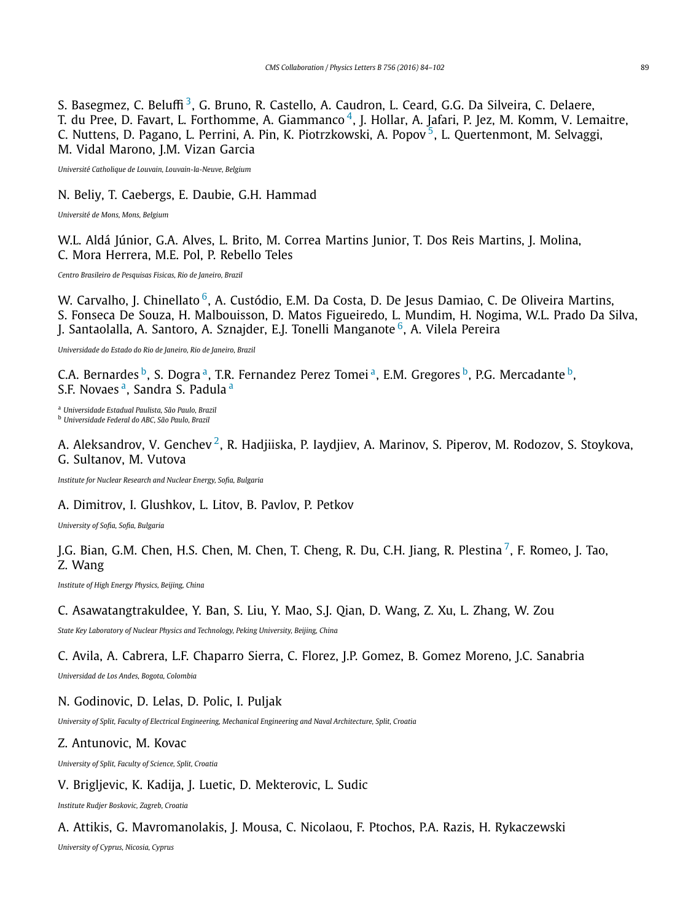S. Basegmez, C. Beluffi<sup>3</sup>, G. Bruno, R. Castello, A. Caudron, L. Ceard, G.G. Da Silveira, C. Delaere, T. du Pree, D. Favart, L. Forthomme, A. Giammanco<sup>4</sup>, J. Hollar, A. Jafari, P. Jez, M. Komm, V. Lemaitre, C. Nuttens, D. Pagano, L. Perrini, A. Pin, K. Piotrzkowski, A. Popov [5,](#page-18-0) L. Quertenmont, M. Selvaggi, M. Vidal Marono, J.M. Vizan Garcia

*Université Catholique de Louvain, Louvain-la-Neuve, Belgium*

#### N. Beliy, T. Caebergs, E. Daubie, G.H. Hammad

*Université de Mons, Mons, Belgium*

W.L. Aldá Júnior, G.A. Alves, L. Brito, M. Correa Martins Junior, T. Dos Reis Martins, J. Molina, C. Mora Herrera, M.E. Pol, P. Rebello Teles

*Centro Brasileiro de Pesquisas Fisicas, Rio de Janeiro, Brazil*

W. Carvalho, J. Chinellato<sup>6</sup>, A. Custódio, E.M. Da Costa, D. De Jesus Damiao, C. De Oliveira Martins, S. Fonseca De Souza, H. Malbouisson, D. Matos Figueiredo, L. Mundim, H. Nogima, W.L. Prado Da Silva, J. Santaolalla, A. Santoro, A. Sznajder, E.J. Tonelli Manganote<sup>6</sup>, A. Vilela Pereira

*Universidade do Estado do Rio de Janeiro, Rio de Janeiro, Brazil*

C.A. Bernardes <sup>b</sup>, S. Dogra <sup>a</sup>, T.R. Fernandez Perez Tomei <sup>a</sup>, E.M. Gregores <sup>b</sup>, P.G. Mercadante <sup>b</sup>, S.F. Novaes<sup>a</sup>, Sandra S. Padula<sup>a</sup>

<sup>a</sup> *Universidade Estadual Paulista, São Paulo, Brazil* <sup>b</sup> *Universidade Federal do ABC, São Paulo, Brazil*

A. Aleksandrov, V. Genchev<sup>[2](#page-17-0)</sup>, R. Hadjiiska, P. Iaydjiev, A. Marinov, S. Piperov, M. Rodozov, S. Stoykova, G. Sultanov, M. Vutova

*Institute for Nuclear Research and Nuclear Energy, Sofia, Bulgaria*

## A. Dimitrov, I. Glushkov, L. Litov, B. Pavlov, P. Petkov

*University of Sofia, Sofia, Bulgaria*

I.G. Bian, G.M. Chen, H.S. Chen, M. Chen, T. Cheng, R. Du, C.H. Jiang, R. Plestina<sup>7</sup>, F. Romeo, J. Tao, Z. Wang

*Institute of High Energy Physics, Beijing, China*

#### C. Asawatangtrakuldee, Y. Ban, S. Liu, Y. Mao, S.J. Qian, D. Wang, Z. Xu, L. Zhang, W. Zou

*State Key Laboratory of Nuclear Physics and Technology, Peking University, Beijing, China*

## C. Avila, A. Cabrera, L.F. Chaparro Sierra, C. Florez, J.P. Gomez, B. Gomez Moreno, J.C. Sanabria

*Universidad de Los Andes, Bogota, Colombia*

#### N. Godinovic, D. Lelas, D. Polic, I. Puljak

*University of Split, Faculty of Electrical Engineering, Mechanical Engineering and Naval Architecture, Split, Croatia*

#### Z. Antunovic, M. Kovac

*University of Split, Faculty of Science, Split, Croatia*

## V. Brigljevic, K. Kadija, J. Luetic, D. Mekterovic, L. Sudic

*Institute Rudjer Boskovic, Zagreb, Croatia*

# A. Attikis, G. Mavromanolakis, J. Mousa, C. Nicolaou, F. Ptochos, P.A. Razis, H. Rykaczewski

*University of Cyprus, Nicosia, Cyprus*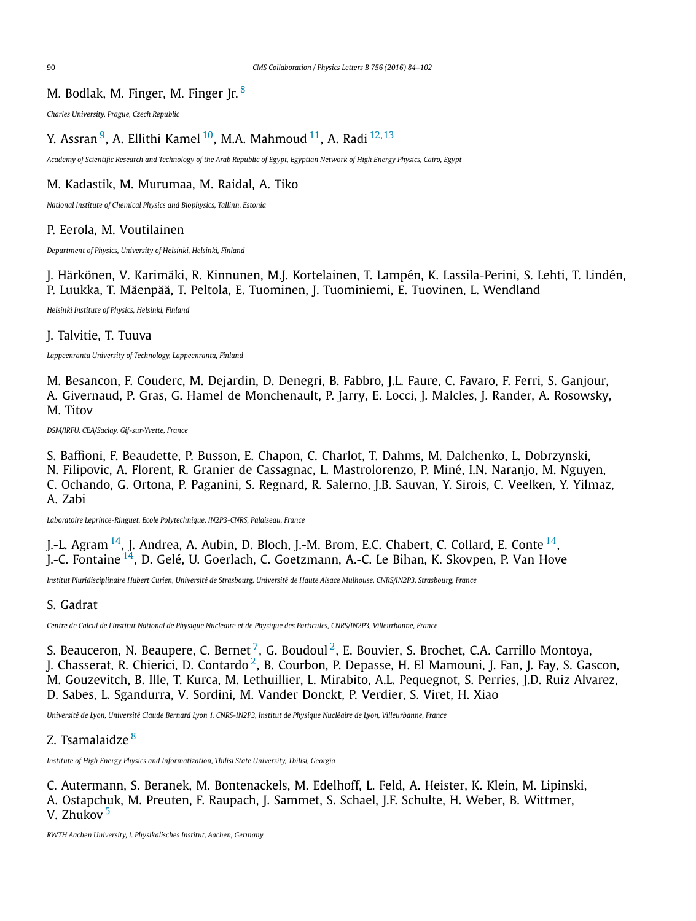# M. Bodlak, M. Finger, M. Finger Jr. [8](#page-18-0)

*Charles University, Prague, Czech Republic*

# Y. Assran [9,](#page-18-0) A. Ellithi Kamel [10,](#page-18-0) M.A. Mahmoud [11,](#page-18-0) A. Radi [12](#page-18-0)*,*[13](#page-18-0)

Academy of Scientific Research and Technology of the Arab Republic of Egypt, Egyptian Network of High Energy Physics, Cairo, Egypt

## M. Kadastik, M. Murumaa, M. Raidal, A. Tiko

*National Institute of Chemical Physics and Biophysics, Tallinn, Estonia*

#### P. Eerola, M. Voutilainen

*Department of Physics, University of Helsinki, Helsinki, Finland*

J. Härkönen, V. Karimäki, R. Kinnunen, M.J. Kortelainen, T. Lampén, K. Lassila-Perini, S. Lehti, T. Lindén, P. Luukka, T. Mäenpää, T. Peltola, E. Tuominen, J. Tuominiemi, E. Tuovinen, L. Wendland

*Helsinki Institute of Physics, Helsinki, Finland*

#### J. Talvitie, T. Tuuva

*Lappeenranta University of Technology, Lappeenranta, Finland*

M. Besancon, F. Couderc, M. Dejardin, D. Denegri, B. Fabbro, J.L. Faure, C. Favaro, F. Ferri, S. Ganjour, A. Givernaud, P. Gras, G. Hamel de Monchenault, P. Jarry, E. Locci, J. Malcles, J. Rander, A. Rosowsky, M. Titov

*DSM/IRFU, CEA/Saclay, Gif-sur-Yvette, France*

S. Baffioni, F. Beaudette, P. Busson, E. Chapon, C. Charlot, T. Dahms, M. Dalchenko, L. Dobrzynski, N. Filipovic, A. Florent, R. Granier de Cassagnac, L. Mastrolorenzo, P. Miné, I.N. Naranjo, M. Nguyen, C. Ochando, G. Ortona, P. Paganini, S. Regnard, R. Salerno, J.B. Sauvan, Y. Sirois, C. Veelken, Y. Yilmaz, A. Zabi

*Laboratoire Leprince-Ringuet, Ecole Polytechnique, IN2P3-CNRS, Palaiseau, France*

J.-L. Agram<sup>14</sup>, J. Andrea, A. Aubin, D. Bloch, J.-M. Brom, E.C. Chabert, C. Collard, E. Conte<sup>14</sup>, J.-C. Fontaine <sup>14</sup>, D. Gelé, U. Goerlach, C. Goetzmann, A.-C. Le Bihan, K. Skovpen, P. Van Hove

Institut Pluridisciplinaire Hubert Curien, Université de Strasbourg, Université de Haute Alsace Mulhouse, CNRS/IN2P3, Strasbourg, France

## S. Gadrat

Centre de Calcul de l'Institut National de Physique Nucleaire et de Physique des Particules, CNRS/IN2P3, Villeurbanne, France

S. Beauceron, N. Beaupere, C. Bernet<sup>7</sup>, G. Boudoul<sup>2</sup>, E. Bouvier, S. Brochet, C.A. Carrillo Montoya, J. Chasserat, R. Chierici, D. Contardo <sup>2</sup>, B. Courbon, P. Depasse, H. El Mamouni, J. Fan, J. Fay, S. Gascon, M. Gouzevitch, B. Ille, T. Kurca, M. Lethuillier, L. Mirabito, A.L. Pequegnot, S. Perries, J.D. Ruiz Alvarez, D. Sabes, L. Sgandurra, V. Sordini, M. Vander Donckt, P. Verdier, S. Viret, H. Xiao

Université de Lyon, Université Claude Bernard Lyon 1, CNRS-IN2P3, Institut de Physique Nucléaire de Lyon, Villeurbanne, France

# Z. Tsamalaidze<sup>[8](#page-18-0)</sup>

*Institute of High Energy Physics and Informatization, Tbilisi State University, Tbilisi, Georgia*

C. Autermann, S. Beranek, M. Bontenackels, M. Edelhoff, L. Feld, A. Heister, K. Klein, M. Lipinski, A. Ostapchuk, M. Preuten, F. Raupach, J. Sammet, S. Schael, J.F. Schulte, H. Weber, B. Wittmer, V. Zhukov<sup>[5](#page-18-0)</sup>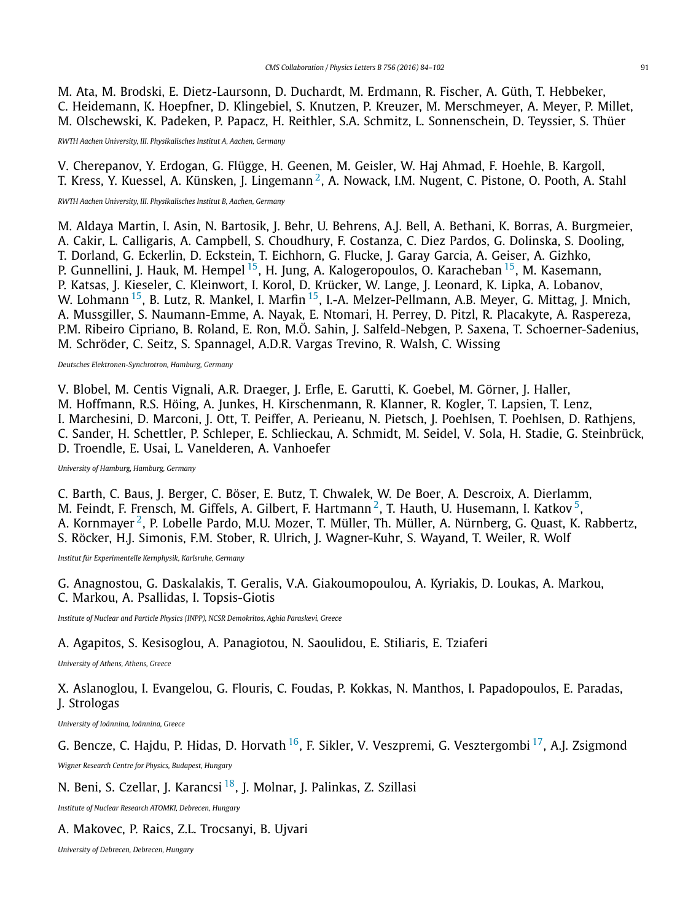M. Ata, M. Brodski, E. Dietz-Laursonn, D. Duchardt, M. Erdmann, R. Fischer, A. Güth, T. Hebbeker, C. Heidemann, K. Hoepfner, D. Klingebiel, S. Knutzen, P. Kreuzer, M. Merschmeyer, A. Meyer, P. Millet, M. Olschewski, K. Padeken, P. Papacz, H. Reithler, S.A. Schmitz, L. Sonnenschein, D. Teyssier, S. Thüer

*RWTH Aachen University, III. Physikalisches Institut A, Aachen, Germany*

V. Cherepanov, Y. Erdogan, G. Flügge, H. Geenen, M. Geisler, W. Haj Ahmad, F. Hoehle, B. Kargoll, T. Kress, Y. Kuessel, A. Künsken, J. Lingemann [2](#page-17-0), A. Nowack, I.M. Nugent, C. Pistone, O. Pooth, A. Stahl

*RWTH Aachen University, III. Physikalisches Institut B, Aachen, Germany*

M. Aldaya Martin, I. Asin, N. Bartosik, J. Behr, U. Behrens, A.J. Bell, A. Bethani, K. Borras, A. Burgmeier, A. Cakir, L. Calligaris, A. Campbell, S. Choudhury, F. Costanza, C. Diez Pardos, G. Dolinska, S. Dooling, T. Dorland, G. Eckerlin, D. Eckstein, T. Eichhorn, G. Flucke, J. Garay Garcia, A. Geiser, A. Gizhko, P. Gunnellini, J. Hauk, M. Hempel  $^{15}$ , H. Jung, A. Kalogeropoulos, O. Karacheban  $^{15}$ , M. Kasemann, P. Katsas, J. Kieseler, C. Kleinwort, I. Korol, D. Krücker, W. Lange, J. Leonard, K. Lipka, A. Lobanov, W. Lohmann [15,](#page-18-0) B. Lutz, R. Mankel, I. Marfin [15,](#page-18-0) I.-A. Melzer-Pellmann, A.B. Meyer, G. Mittag, J. Mnich, A. Mussgiller, S. Naumann-Emme, A. Nayak, E. Ntomari, H. Perrey, D. Pitzl, R. Placakyte, A. Raspereza, P.M. Ribeiro Cipriano, B. Roland, E. Ron, M.Ö. Sahin, J. Salfeld-Nebgen, P. Saxena, T. Schoerner-Sadenius, M. Schröder, C. Seitz, S. Spannagel, A.D.R. Vargas Trevino, R. Walsh, C. Wissing

*Deutsches Elektronen-Synchrotron, Hamburg, Germany*

V. Blobel, M. Centis Vignali, A.R. Draeger, J. Erfle, E. Garutti, K. Goebel, M. Görner, J. Haller, M. Hoffmann, R.S. Höing, A. Junkes, H. Kirschenmann, R. Klanner, R. Kogler, T. Lapsien, T. Lenz, I. Marchesini, D. Marconi, J. Ott, T. Peiffer, A. Perieanu, N. Pietsch, J. Poehlsen, T. Poehlsen, D. Rathjens, C. Sander, H. Schettler, P. Schleper, E. Schlieckau, A. Schmidt, M. Seidel, V. Sola, H. Stadie, G. Steinbrück, D. Troendle, E. Usai, L. Vanelderen, A. Vanhoefer

*University of Hamburg, Hamburg, Germany*

C. Barth, C. Baus, J. Berger, C. Böser, E. Butz, T. Chwalek, W. De Boer, A. Descroix, A. Dierlamm, M. Feindt, F. Frensch, M. Giffels, A. Gilbert, F. Hartmann<sup>2</sup>, T. Hauth, U. Husemann, I. Katkov<sup>[5](#page-18-0)</sup>, A. Kornmayer<sup>2</sup>, P. Lobelle Pardo, M.U. Mozer, T. Müller, Th. Müller, A. Nürnberg, G. Quast, K. Rabbertz, S. Röcker, H.J. Simonis, F.M. Stober, R. Ulrich, J. Wagner-Kuhr, S. Wayand, T. Weiler, R. Wolf

*Institut für Experimentelle Kernphysik, Karlsruhe, Germany*

G. Anagnostou, G. Daskalakis, T. Geralis, V.A. Giakoumopoulou, A. Kyriakis, D. Loukas, A. Markou, C. Markou, A. Psallidas, I. Topsis-Giotis

*Institute of Nuclear and Particle Physics (INPP), NCSR Demokritos, Aghia Paraskevi, Greece*

A. Agapitos, S. Kesisoglou, A. Panagiotou, N. Saoulidou, E. Stiliaris, E. Tziaferi

*University of Athens, Athens, Greece*

X. Aslanoglou, I. Evangelou, G. Flouris, C. Foudas, P. Kokkas, N. Manthos, I. Papadopoulos, E. Paradas, J. Strologas

*University of Ioánnina, Ioánnina, Greece*

G. Bencze, C. Hajdu, P. Hidas, D. Horvath  $^{16}$ , F. Sikler, V. Veszpremi, G. Vesztergombi  $^{17}$ , A.J. Zsigmond *Wigner Research Centre for Physics, Budapest, Hungary*

N. Beni, S. Czellar, J. Karancsi [18,](#page-18-0) J. Molnar, J. Palinkas, Z. Szillasi

*Institute of Nuclear Research ATOMKI, Debrecen, Hungary*

A. Makovec, P. Raics, Z.L. Trocsanyi, B. Ujvari

*University of Debrecen, Debrecen, Hungary*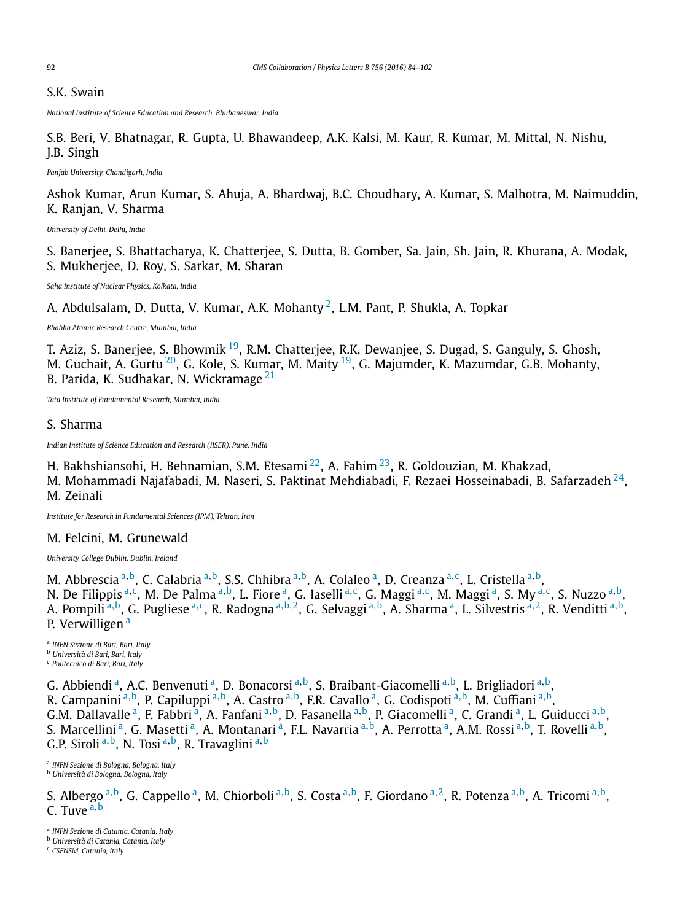## S.K. Swain

*National Institute of Science Education and Research, Bhubaneswar, India*

S.B. Beri, V. Bhatnagar, R. Gupta, U. Bhawandeep, A.K. Kalsi, M. Kaur, R. Kumar, M. Mittal, N. Nishu, J.B. Singh

*Panjab University, Chandigarh, India*

Ashok Kumar, Arun Kumar, S. Ahuja, A. Bhardwaj, B.C. Choudhary, A. Kumar, S. Malhotra, M. Naimuddin, K. Ranjan, V. Sharma

*University of Delhi, Delhi, India*

S. Banerjee, S. Bhattacharya, K. Chatterjee, S. Dutta, B. Gomber, Sa. Jain, Sh. Jain, R. Khurana, A. Modak, S. Mukherjee, D. Roy, S. Sarkar, M. Sharan

*Saha Institute of Nuclear Physics, Kolkata, India*

A. Abdulsalam, D. Dutta, V. Kumar, A.K. Mohanty<sup>2</sup>, L.M. Pant, P. Shukla, A. Topkar

*Bhabha Atomic Research Centre, Mumbai, India*

T. Aziz, S. Banerjee, S. Bhowmik <sup>[19](#page-18-0)</sup>, R.M. Chatterjee, R.K. Dewanjee, S. Dugad, S. Ganguly, S. Ghosh, M. Guchait, A. Gurtu <sup>20</sup>, G. Kole, S. Kumar, M. Maity <sup>19</sup>, G. Majumder, K. Mazumdar, G.B. Mohanty, B. Parida, K. Sudhakar, N. Wickramage [21](#page-18-0)

*Tata Institute of Fundamental Research, Mumbai, India*

#### S. Sharma

*Indian Institute of Science Education and Research (IISER), Pune, India*

H. Bakhshiansohi, H. Behnamian, S.M. Etesami  $^{22}$ , A. Fahim  $^{23}$ , R. Goldouzian, M. Khakzad, M. Mohammadi Najafabadi, M. Naseri, S. Paktinat Mehdiabadi, F. Rezaei Hosseinabadi, B. Safarzadeh [24,](#page-18-0) M. Zeinali

*Institute for Research in Fundamental Sciences (IPM), Tehran, Iran*

#### M. Felcini, M. Grunewald

*University College Dublin, Dublin, Ireland*

M. Abbrescia <sup>a</sup>*,*b, C. Calabria <sup>a</sup>*,*b, S.S. Chhibra <sup>a</sup>*,*b, A. Colaleo a, D. Creanza <sup>a</sup>*,*c, L. Cristella <sup>a</sup>*,*b, N. De Filippis <sup>a</sup>*,*c, M. De Palma <sup>a</sup>*,*b, L. Fiore a, G. Iaselli <sup>a</sup>*,*c, G. Maggi <sup>a</sup>*,*c, M. Maggi a, S. My <sup>a</sup>*,*c, S. Nuzzo <sup>a</sup>*,*b, A. Pompili <sup>a</sup>*,*b, G. Pugliese <sup>a</sup>*,*c, R. Radogna <sup>a</sup>*,*b*,*[2,](#page-17-0) G. Selvaggi <sup>a</sup>*,*b, A. Sharma a, L. Silvestris <sup>a</sup>*,*[2,](#page-17-0) R. Venditti <sup>a</sup>*,*b, P. Verwilligen <sup>a</sup>

<sup>a</sup> *INFN Sezione di Bari, Bari, Italy* <sup>b</sup> *Università di Bari, Bari, Italy*

<sup>c</sup> *Politecnico di Bari, Bari, Italy*

G. Abbiendi a, A.C. Benvenuti a, D. Bonacorsi <sup>a</sup>*,*b, S. Braibant-Giacomelli <sup>a</sup>*,*b, L. Brigliadori <sup>a</sup>*,*b, R. Campanini <sup>a</sup>*,*b, P. Capiluppi <sup>a</sup>*,*b, A. Castro <sup>a</sup>*,*b, F.R. Cavallo a, G. Codispoti <sup>a</sup>*,*b, M. Cuffiani <sup>a</sup>*,*b, G.M. Dallavalle a, F. Fabbri a, A. Fanfani <sup>a</sup>*,*b, D. Fasanella <sup>a</sup>*,*b, P. Giacomelli a, C. Grandi a, L. Guiducci <sup>a</sup>*,*b, S. Marcellini a, G. Masetti a, A. Montanari a, F.L. Navarria <sup>a</sup>*,*b, A. Perrotta a, A.M. Rossi <sup>a</sup>*,*b, T. Rovelli <sup>a</sup>*,*b, G.P. Siroli <sup>a</sup>*,*b, N. Tosi <sup>a</sup>*,*b, R. Travaglini <sup>a</sup>*,*<sup>b</sup>

<sup>a</sup> *INFN Sezione di Bologna, Bologna, Italy*

<sup>a</sup> *INFN Sezione di Catania, Catania, Italy*

<sup>b</sup> *Università di Catania, Catania, Italy*

<sup>c</sup> *CSFNSM, Catania, Italy*

<sup>b</sup> *Università di Bologna, Bologna, Italy*

S. Albergo <sup>a</sup>*,*b, G. Cappello a, M. Chiorboli <sup>a</sup>*,*b, S. Costa <sup>a</sup>*,*b, F. Giordano <sup>a</sup>*,*[2,](#page-17-0) R. Potenza <sup>a</sup>*,*b, A. Tricomi <sup>a</sup>*,*b, C. Tuve <sup>a</sup>*,*<sup>b</sup>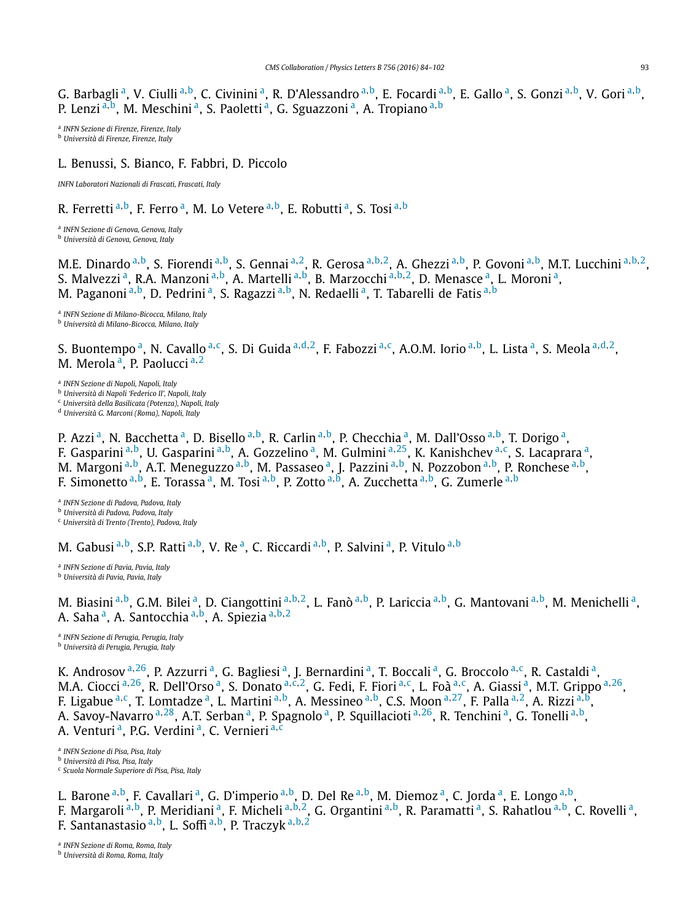G. Barbagli a, V. Ciulli <sup>a</sup>*,*b, C. Civinini a, R. D'Alessandro <sup>a</sup>*,*b, E. Focardi <sup>a</sup>*,*b, E. Gallo a, S. Gonzi <sup>a</sup>*,*b, V. Gori <sup>a</sup>*,*b, P. Lenzi a, b, M. Meschini <sup>a</sup>, S. Paoletti <sup>a</sup>, G. Sguazzoni <sup>a</sup>, A. Tropiano a, b

<sup>a</sup> *INFN Sezione di Firenze, Firenze, Italy* <sup>b</sup> *Università di Firenze, Firenze, Italy*

## L. Benussi, S. Bianco, F. Fabbri, D. Piccolo

*INFN Laboratori Nazionali di Frascati, Frascati, Italy*

# R. Ferretti <sup>a</sup>*,*b, F. Ferro a, M. Lo Vetere <sup>a</sup>*,*b, E. Robutti a, S. Tosi <sup>a</sup>*,*<sup>b</sup>

<sup>a</sup> *INFN Sezione di Genova, Genova, Italy* <sup>b</sup> *Università di Genova, Genova, Italy*

M.E. Dinardo <sup>a</sup>*,*b, S. Fiorendi <sup>a</sup>*,*b, S. Gennai <sup>a</sup>*,*[2,](#page-17-0) R. Gerosa <sup>a</sup>*,*b*,*[2](#page-17-0), A. Ghezzi <sup>a</sup>*,*b, P. Govoni <sup>a</sup>*,*b, M.T. Lucchini <sup>a</sup>*,*b*,*[2](#page-17-0), S. Malvezzi a, R.A. Manzoni <sup>a</sup>*,*b, A. Martelli <sup>a</sup>*,*b, B. Marzocchi <sup>a</sup>*,*b*,*[2,](#page-17-0) D. Menasce a, L. Moroni a, M. Paganoni <sup>a</sup>*,*b, D. Pedrini a, S. Ragazzi <sup>a</sup>*,*b, N. Redaelli a, T. Tabarelli de Fatis <sup>a</sup>*,*<sup>b</sup>

<sup>a</sup> *INFN Sezione di Milano-Bicocca, Milano, Italy*

<sup>b</sup> *Università di Milano-Bicocca, Milano, Italy*

S. Buontempo a, N. Cavallo <sup>a</sup>*,*c, S. Di Guida <sup>a</sup>*,*d*,*[2,](#page-17-0) F. Fabozzi <sup>a</sup>*,*c, A.O.M. Iorio <sup>a</sup>*,*b, L. Lista a, S. Meola <sup>a</sup>*,*d*,*[2,](#page-17-0) M. Merola a, P. Paolucci <sup>a</sup>*,*[2](#page-17-0)

<sup>a</sup> *INFN Sezione di Napoli, Napoli, Italy*

<sup>b</sup> *Università di Napoli 'Federico II', Napoli, Italy*

<sup>c</sup> *Università della Basilicata (Potenza), Napoli, Italy* <sup>d</sup> *Università G. Marconi (Roma), Napoli, Italy*

P. Azzi<sup>a</sup>, N. Bacchetta<sup>a</sup>, D. Bisello a,b, R. Carlin a,b, P. Checchia <sup>a</sup>, M. Dall'Osso a,b, T. Dorigo <sup>a</sup>, F. Gasparini <sup>a</sup>*,*b, U. Gasparini <sup>a</sup>*,*b, A. Gozzelino a, M. Gulmini <sup>a</sup>*,*[25,](#page-18-0) K. Kanishchev <sup>a</sup>*,*c, S. Lacaprara a, M. Margoni <sup>a</sup>*,*b, A.T. Meneguzzo <sup>a</sup>*,*b, M. Passaseo a, J. Pazzini <sup>a</sup>*,*b, N. Pozzobon <sup>a</sup>*,*b, P. Ronchese <sup>a</sup>*,*b, F. Simonetto <sup>a</sup>*,*b, E. Torassa a, M. Tosi <sup>a</sup>*,*b, P. Zotto <sup>a</sup>*,*b, A. Zucchetta <sup>a</sup>*,*b, G. Zumerle <sup>a</sup>*,*<sup>b</sup>

<sup>a</sup> *INFN Sezione di Padova, Padova, Italy*

<sup>b</sup> *Università di Padova, Padova, Italy*

<sup>c</sup> *Università di Trento (Trento), Padova, Italy*

M. Gabusi <sup>a</sup>*,*b, S.P. Ratti <sup>a</sup>*,*b, V. Re a, C. Riccardi <sup>a</sup>*,*b, P. Salvini a, P. Vitulo <sup>a</sup>*,*<sup>b</sup>

<sup>a</sup> *INFN Sezione di Pavia, Pavia, Italy* <sup>b</sup> *Università di Pavia, Pavia, Italy*

M. Biasini <sup>a</sup>*,*b, G.M. Bilei a, D. Ciangottini <sup>a</sup>*,*b*,*[2,](#page-17-0) L. Fanò <sup>a</sup>*,*b, P. Lariccia <sup>a</sup>*,*b, G. Mantovani <sup>a</sup>*,*b, M. Menichelli a, A. Saha a, A. Santocchia <sup>a</sup>*,*b, A. Spiezia <sup>a</sup>*,*b*,*[2](#page-17-0)

<sup>a</sup> *INFN Sezione di Perugia, Perugia, Italy* <sup>b</sup> *Università di Perugia, Perugia, Italy*

K. Androsov <sup>a, 26</sup>, P. Azzurri <sup>a</sup>, G. Bagliesi <sup>a</sup>, J. Bernardini <sup>a</sup>, T. Boccali <sup>a</sup>, G. Broccolo <sup>a, c</sup>, R. Castaldi <sup>a</sup>, M.A. Ciocci <sup>a</sup>*,*[26](#page-18-0), R. Dell'Orso a, S. Donato <sup>a</sup>*,*c*,*[2,](#page-17-0) G. Fedi, F. Fiori <sup>a</sup>*,*c, L. Foà <sup>a</sup>*,*c, A. Giassi a, M.T. Grippo <sup>a</sup>*,*[26,](#page-18-0) F. Ligabue <sup>a</sup>*,*c, T. Lomtadze a, L. Martini <sup>a</sup>*,*b, A. Messineo <sup>a</sup>*,*b, C.S. Moon <sup>a</sup>*,*[27](#page-18-0), F. Palla <sup>a</sup>*,*[2,](#page-17-0) A. Rizzi <sup>a</sup>*,*b, A. Savoy-Navarro <sup>a, 28</sup>, A.T. Serban <sup>a</sup>, P. Spagnolo <sup>a</sup>, P. Squillacioti <sup>a, 26</sup>, R. Tenchini <sup>a</sup>, G. Tonelli <sup>a,b</sup>, A. Venturi a, P.G. Verdini a, C. Vernieri <sup>a</sup>*,*<sup>c</sup>

<sup>a</sup> *INFN Sezione di Pisa, Pisa, Italy*

<sup>b</sup> *Università di Pisa, Pisa, Italy*

<sup>c</sup> *Scuola Normale Superiore di Pisa, Pisa, Italy*

L. Barone a,b, F. Cavallari <sup>a</sup>, G. D'imperio <sup>a,b</sup>, D. Del Re <sup>a,b</sup>, M. Diemoz <sup>a</sup>, C. Jorda <sup>a</sup>, E. Longo <sup>a,b</sup>, F. Margaroli <sup>a</sup>*,*b, P. Meridiani a, F. Micheli <sup>a</sup>*,*b*,*[2](#page-17-0), G. Organtini <sup>a</sup>*,*b, R. Paramatti a, S. Rahatlou <sup>a</sup>*,*b, C. Rovelli a, F. Santanastasio <sup>a</sup>*,*b, L. Soffi <sup>a</sup>*,*b, P. Traczyk <sup>a</sup>*,*b*,*[2](#page-17-0)

<sup>a</sup> *INFN Sezione di Roma, Roma, Italy*

<sup>b</sup> *Università di Roma, Roma, Italy*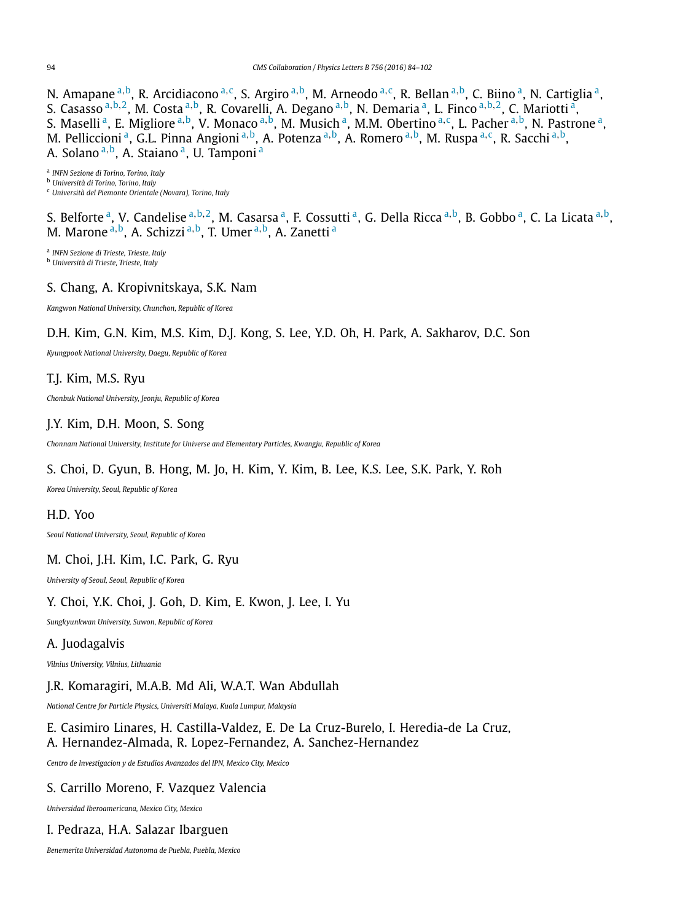N. Amapane <sup>a</sup>*,*b, R. Arcidiacono <sup>a</sup>*,*c, S. Argiro <sup>a</sup>*,*b, M. Arneodo <sup>a</sup>*,*c, R. Bellan <sup>a</sup>*,*b, C. Biino a, N. Cartiglia a, S. Casasso <sup>a</sup>*,*b*,*[2,](#page-17-0) M. Costa <sup>a</sup>*,*b, R. Covarelli, A. Degano <sup>a</sup>*,*b, N. Demaria a, L. Finco <sup>a</sup>*,*b*,*[2,](#page-17-0) C. Mariotti a, S. Maselli a, E. Migliore <sup>a</sup>*,*b, V. Monaco <sup>a</sup>*,*b, M. Musich a, M.M. Obertino <sup>a</sup>*,*c, L. Pacher <sup>a</sup>*,*b, N. Pastrone a, M. Pelliccioni a, G.L. Pinna Angioni <sup>a</sup>*,*b, A. Potenza <sup>a</sup>*,*b, A. Romero <sup>a</sup>*,*b, M. Ruspa <sup>a</sup>*,*c, R. Sacchi <sup>a</sup>*,*b, A. Solano <sup>a, b</sup>, A. Staiano <sup>a</sup>, U. Tamponi<sup>a</sup>

<sup>a</sup> *INFN Sezione di Torino, Torino, Italy* <sup>b</sup> *Università di Torino, Torino, Italy*

<sup>c</sup> *Università del Piemonte Orientale (Novara), Torino, Italy*

S. Belforte a, V. Candelise <sup>a</sup>*,*b*,*[2,](#page-17-0) M. Casarsa a, F. Cossutti a, G. Della Ricca <sup>a</sup>*,*b, B. Gobbo a, C. La Licata <sup>a</sup>*,*b, M. Marone <sup>a</sup>*,*b, A. Schizzi <sup>a</sup>*,*b, T. Umer <sup>a</sup>*,*b, A. Zanetti <sup>a</sup>

<sup>a</sup> *INFN Sezione di Trieste, Trieste, Italy*

<sup>b</sup> *Università di Trieste, Trieste, Italy*

#### S. Chang, A. Kropivnitskaya, S.K. Nam

*Kangwon National University, Chunchon, Republic of Korea*

#### D.H. Kim, G.N. Kim, M.S. Kim, D.J. Kong, S. Lee, Y.D. Oh, H. Park, A. Sakharov, D.C. Son

*Kyungpook National University, Daegu, Republic of Korea*

## T.J. Kim, M.S. Ryu

*Chonbuk National University, Jeonju, Republic of Korea*

#### J.Y. Kim, D.H. Moon, S. Song

*Chonnam National University, Institute for Universe and Elementary Particles, Kwangju, Republic of Korea*

#### S. Choi, D. Gyun, B. Hong, M. Jo, H. Kim, Y. Kim, B. Lee, K.S. Lee, S.K. Park, Y. Roh

*Korea University, Seoul, Republic of Korea*

#### H.D. Yoo

*Seoul National University, Seoul, Republic of Korea*

#### M. Choi, J.H. Kim, I.C. Park, G. Ryu

*University of Seoul, Seoul, Republic of Korea*

#### Y. Choi, Y.K. Choi, J. Goh, D. Kim, E. Kwon, J. Lee, I. Yu

*Sungkyunkwan University, Suwon, Republic of Korea*

## A. Juodagalvis

*Vilnius University, Vilnius, Lithuania*

#### J.R. Komaragiri, M.A.B. Md Ali, W.A.T. Wan Abdullah

*National Centre for Particle Physics, Universiti Malaya, Kuala Lumpur, Malaysia*

## E. Casimiro Linares, H. Castilla-Valdez, E. De La Cruz-Burelo, I. Heredia-de La Cruz, A. Hernandez-Almada, R. Lopez-Fernandez, A. Sanchez-Hernandez

*Centro de Investigacion y de Estudios Avanzados del IPN, Mexico City, Mexico*

## S. Carrillo Moreno, F. Vazquez Valencia

*Universidad Iberoamericana, Mexico City, Mexico*

## I. Pedraza, H.A. Salazar Ibarguen

*Benemerita Universidad Autonoma de Puebla, Puebla, Mexico*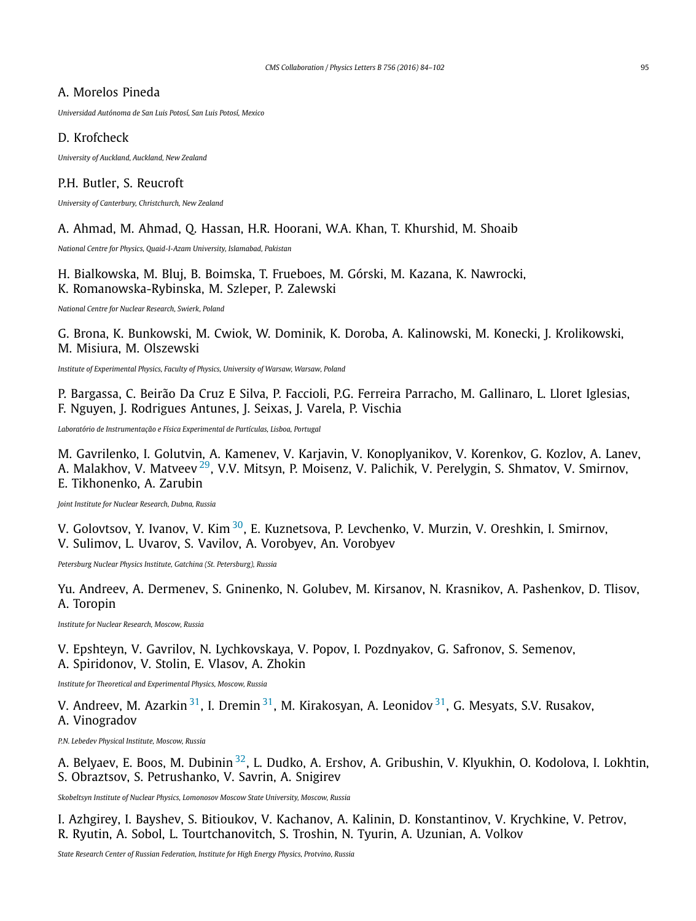# A. Morelos Pineda

*Universidad Autónoma de San Luis Potosí, San Luis Potosí, Mexico*

## D. Krofcheck

*University of Auckland, Auckland, New Zealand*

# P.H. Butler, S. Reucroft

*University of Canterbury, Christchurch, New Zealand*

## A. Ahmad, M. Ahmad, Q. Hassan, H.R. Hoorani, W.A. Khan, T. Khurshid, M. Shoaib

*National Centre for Physics, Quaid-I-Azam University, Islamabad, Pakistan*

H. Bialkowska, M. Bluj, B. Boimska, T. Frueboes, M. Górski, M. Kazana, K. Nawrocki, K. Romanowska-Rybinska, M. Szleper, P. Zalewski

*National Centre for Nuclear Research, Swierk, Poland*

G. Brona, K. Bunkowski, M. Cwiok, W. Dominik, K. Doroba, A. Kalinowski, M. Konecki, J. Krolikowski, M. Misiura, M. Olszewski

*Institute of Experimental Physics, Faculty of Physics, University of Warsaw, Warsaw, Poland*

P. Bargassa, C. Beirão Da Cruz E Silva, P. Faccioli, P.G. Ferreira Parracho, M. Gallinaro, L. Lloret Iglesias, F. Nguyen, J. Rodrigues Antunes, J. Seixas, J. Varela, P. Vischia

*Laboratório de Instrumentação e Física Experimental de Partículas, Lisboa, Portugal*

M. Gavrilenko, I. Golutvin, A. Kamenev, V. Karjavin, V. Konoplyanikov, V. Korenkov, G. Kozlov, A. Lanev, A. Malakhov, V. Matveev [29,](#page-18-0) V.V. Mitsyn, P. Moisenz, V. Palichik, V. Perelygin, S. Shmatov, V. Smirnov, E. Tikhonenko, A. Zarubin

*Joint Institute for Nuclear Research, Dubna, Russia*

V. Golovtsov, Y. Ivanov, V. Kim [30,](#page-18-0) E. Kuznetsova, P. Levchenko, V. Murzin, V. Oreshkin, I. Smirnov, V. Sulimov, L. Uvarov, S. Vavilov, A. Vorobyev, An. Vorobyev

*Petersburg Nuclear Physics Institute, Gatchina (St. Petersburg), Russia*

Yu. Andreev, A. Dermenev, S. Gninenko, N. Golubev, M. Kirsanov, N. Krasnikov, A. Pashenkov, D. Tlisov, A. Toropin

*Institute for Nuclear Research, Moscow, Russia*

V. Epshteyn, V. Gavrilov, N. Lychkovskaya, V. Popov, I. Pozdnyakov, G. Safronov, S. Semenov, A. Spiridonov, V. Stolin, E. Vlasov, A. Zhokin

*Institute for Theoretical and Experimental Physics, Moscow, Russia*

V. Andreev, M. Azarkin<sup>[31](#page-18-0)</sup>, I. Dremin<sup>31</sup>, M. Kirakosyan, A. Leonidov<sup>31</sup>, G. Mesyats, S.V. Rusakov, A. Vinogradov

*P.N. Lebedev Physical Institute, Moscow, Russia*

A. Belyaev, E. Boos, M. Dubinin [32,](#page-18-0) L. Dudko, A. Ershov, A. Gribushin, V. Klyukhin, O. Kodolova, I. Lokhtin, S. Obraztsov, S. Petrushanko, V. Savrin, A. Snigirev

*Skobeltsyn Institute of Nuclear Physics, Lomonosov Moscow State University, Moscow, Russia*

I. Azhgirey, I. Bayshev, S. Bitioukov, V. Kachanov, A. Kalinin, D. Konstantinov, V. Krychkine, V. Petrov, R. Ryutin, A. Sobol, L. Tourtchanovitch, S. Troshin, N. Tyurin, A. Uzunian, A. Volkov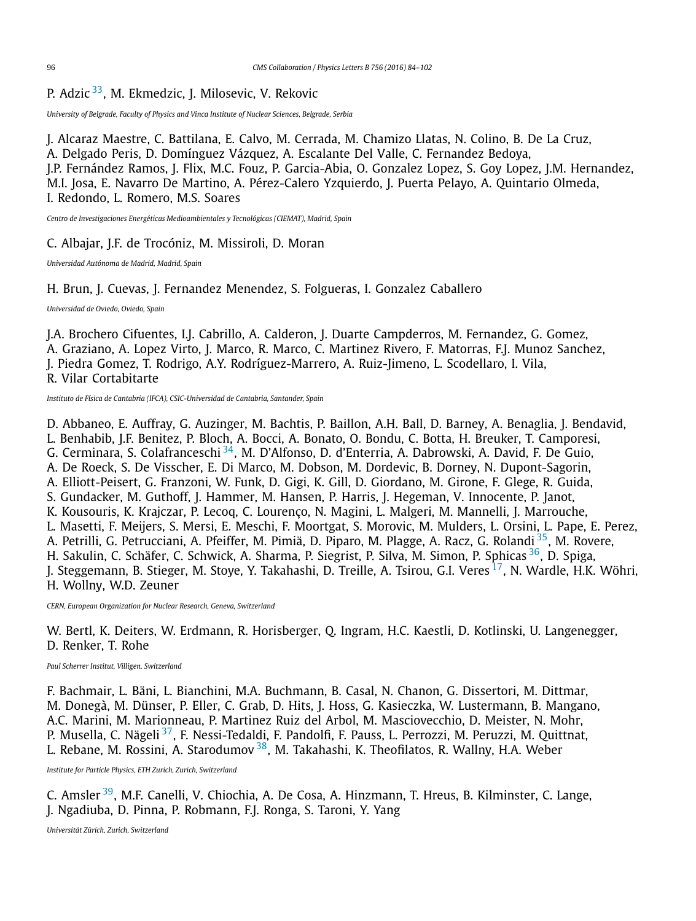# P. Adzic [33,](#page-18-0) M. Ekmedzic, J. Milosevic, V. Rekovic

*University of Belgrade, Faculty of Physics and Vinca Institute of Nuclear Sciences, Belgrade, Serbia*

J. Alcaraz Maestre, C. Battilana, E. Calvo, M. Cerrada, M. Chamizo Llatas, N. Colino, B. De La Cruz, A. Delgado Peris, D. Domínguez Vázquez, A. Escalante Del Valle, C. Fernandez Bedoya, J.P. Fernández Ramos, J. Flix, M.C. Fouz, P. Garcia-Abia, O. Gonzalez Lopez, S. Goy Lopez, J.M. Hernandez, M.I. Josa, E. Navarro De Martino, A. Pérez-Calero Yzquierdo, J. Puerta Pelayo, A. Quintario Olmeda, I. Redondo, L. Romero, M.S. Soares

*Centro de Investigaciones Energéticas Medioambientales y Tecnológicas (CIEMAT), Madrid, Spain*

#### C. Albajar, J.F. de Trocóniz, M. Missiroli, D. Moran

*Universidad Autónoma de Madrid, Madrid, Spain*

H. Brun, J. Cuevas, J. Fernandez Menendez, S. Folgueras, I. Gonzalez Caballero

*Universidad de Oviedo, Oviedo, Spain*

J.A. Brochero Cifuentes, I.J. Cabrillo, A. Calderon, J. Duarte Campderros, M. Fernandez, G. Gomez, A. Graziano, A. Lopez Virto, J. Marco, R. Marco, C. Martinez Rivero, F. Matorras, F.J. Munoz Sanchez, J. Piedra Gomez, T. Rodrigo, A.Y. Rodríguez-Marrero, A. Ruiz-Jimeno, L. Scodellaro, I. Vila, R. Vilar Cortabitarte

*Instituto de Física de Cantabria (IFCA), CSIC-Universidad de Cantabria, Santander, Spain*

D. Abbaneo, E. Auffray, G. Auzinger, M. Bachtis, P. Baillon, A.H. Ball, D. Barney, A. Benaglia, J. Bendavid, L. Benhabib, J.F. Benitez, P. Bloch, A. Bocci, A. Bonato, O. Bondu, C. Botta, H. Breuker, T. Camporesi, G. Cerminara, S. Colafranceschi [34,](#page-18-0) M. D'Alfonso, D. d'Enterria, A. Dabrowski, A. David, F. De Guio, A. De Roeck, S. De Visscher, E. Di Marco, M. Dobson, M. Dordevic, B. Dorney, N. Dupont-Sagorin, A. Elliott-Peisert, G. Franzoni, W. Funk, D. Gigi, K. Gill, D. Giordano, M. Girone, F. Glege, R. Guida, S. Gundacker, M. Guthoff, J. Hammer, M. Hansen, P. Harris, J. Hegeman, V. Innocente, P. Janot, K. Kousouris, K. Krajczar, P. Lecoq, C. Lourenço, N. Magini, L. Malgeri, M. Mannelli, J. Marrouche, L. Masetti, F. Meijers, S. Mersi, E. Meschi, F. Moortgat, S. Morovic, M. Mulders, L. Orsini, L. Pape, E. Perez, A. Petrilli, G. Petrucciani, A. Pfeiffer, M. Pimiä, D. Piparo, M. Plagge, A. Racz, G. Rolandi <sup>35</sup>, M. Rovere, H. Sakulin, C. Schäfer, C. Schwick, A. Sharma, P. Siegrist, P. Silva, M. Simon, P. Sphicas <sup>36</sup>, D. Spiga, J. Steggemann, B. Stieger, M. Stoye, Y. Takahashi, D. Treille, A. Tsirou, G.I. Veres [17,](#page-18-0) N. Wardle, H.K. Wöhri, H. Wollny, W.D. Zeuner

*CERN, European Organization for Nuclear Research, Geneva, Switzerland*

W. Bertl, K. Deiters, W. Erdmann, R. Horisberger, Q. Ingram, H.C. Kaestli, D. Kotlinski, U. Langenegger, D. Renker, T. Rohe

*Paul Scherrer Institut, Villigen, Switzerland*

F. Bachmair, L. Bäni, L. Bianchini, M.A. Buchmann, B. Casal, N. Chanon, G. Dissertori, M. Dittmar, M. Donegà, M. Dünser, P. Eller, C. Grab, D. Hits, J. Hoss, G. Kasieczka, W. Lustermann, B. Mangano, A.C. Marini, M. Marionneau, P. Martinez Ruiz del Arbol, M. Masciovecchio, D. Meister, N. Mohr, P. Musella, C. Nägeli [37,](#page-18-0) F. Nessi-Tedaldi, F. Pandolfi, F. Pauss, L. Perrozzi, M. Peruzzi, M. Quittnat, L. Rebane, M. Rossini, A. Starodumov [38](#page-18-0), M. Takahashi, K. Theofilatos, R. Wallny, H.A. Weber

*Institute for Particle Physics, ETH Zurich, Zurich, Switzerland*

C. Amsler [39,](#page-18-0) M.F. Canelli, V. Chiochia, A. De Cosa, A. Hinzmann, T. Hreus, B. Kilminster, C. Lange, J. Ngadiuba, D. Pinna, P. Robmann, F.J. Ronga, S. Taroni, Y. Yang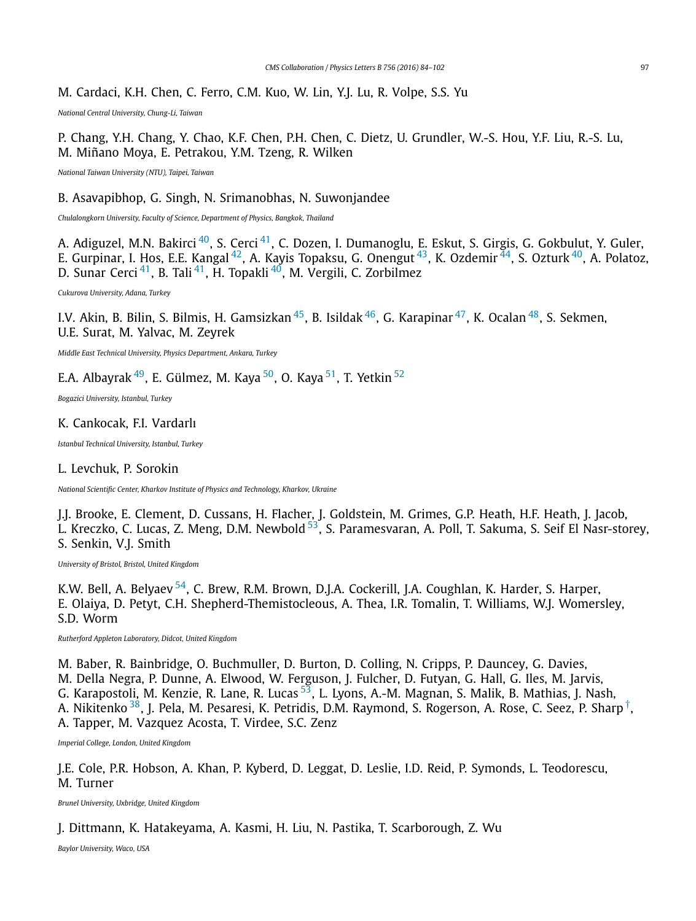# M. Cardaci, K.H. Chen, C. Ferro, C.M. Kuo, W. Lin, Y.J. Lu, R. Volpe, S.S. Yu

*National Central University, Chung-Li, Taiwan*

P. Chang, Y.H. Chang, Y. Chao, K.F. Chen, P.H. Chen, C. Dietz, U. Grundler, W.-S. Hou, Y.F. Liu, R.-S. Lu, M. Miñano Moya, E. Petrakou, Y.M. Tzeng, R. Wilken

*National Taiwan University (NTU), Taipei, Taiwan*

#### B. Asavapibhop, G. Singh, N. Srimanobhas, N. Suwonjandee

*Chulalongkorn University, Faculty of Science, Department of Physics, Bangkok, Thailand*

A. Adiguzel, M.N. Bakirci<sup>40</sup>, S. Cerci<sup>41</sup>, C. Dozen, I. Dumanoglu, E. Eskut, S. Girgis, G. Gokbulut, Y. Guler, E. Gurpinar, I. Hos, E.E. Kangal <sup>42</sup>, A. Kayis Topaksu, G. Onengut <sup>43</sup>, K. Ozdemir <sup>44</sup>, S. Ozturk <sup>40</sup>, A. Polatoz, D. Sunar Cerci $^{\rm 41}$ , B. Tali $^{\rm 41}$ , H. Topakli $^{\rm 40}$ , M. Vergili, C. Zorbilmez

*Cukurova University, Adana, Turkey*

I.V. Akin, B. Bilin, S. Bilmis, H. Gamsizkan  $45$ , B. Isildak  $46$ , G. Karapinar  $47$ , K. Ocalan  $48$ , S. Sekmen, U.E. Surat, M. Yalvac, M. Zeyrek

*Middle East Technical University, Physics Department, Ankara, Turkey*

E.A. Albayrak  $49$ , E. Gülmez, M. Kaya  $50$ , O. Kaya  $51$ , T. Yetkin  $52$ 

*Bogazici University, Istanbul, Turkey*

K. Cankocak, F.I. Vardarlı

*Istanbul Technical University, Istanbul, Turkey*

L. Levchuk, P. Sorokin

*National Scientific Center, Kharkov Institute of Physics and Technology, Kharkov, Ukraine*

J.J. Brooke, E. Clement, D. Cussans, H. Flacher, J. Goldstein, M. Grimes, G.P. Heath, H.F. Heath, J. Jacob, L. Kreczko, C. Lucas, Z. Meng, D.M. Newbold <sup>[53](#page-18-0)</sup>, S. Paramesvaran, A. Poll, T. Sakuma, S. Seif El Nasr-storey, S. Senkin, V.J. Smith

*University of Bristol, Bristol, United Kingdom*

K.W. Bell, A. Belyaev<sup>54</sup>, C. Brew, R.M. Brown, D.J.A. Cockerill, J.A. Coughlan, K. Harder, S. Harper, E. Olaiya, D. Petyt, C.H. Shepherd-Themistocleous, A. Thea, I.R. Tomalin, T. Williams, W.J. Womersley, S.D. Worm

*Rutherford Appleton Laboratory, Didcot, United Kingdom*

M. Baber, R. Bainbridge, O. Buchmuller, D. Burton, D. Colling, N. Cripps, P. Dauncey, G. Davies, M. Della Negra, P. Dunne, A. Elwood, W. Ferguson, J. Fulcher, D. Futyan, G. Hall, G. Iles, M. Jarvis, G. Karapostoli, M. Kenzie, R. Lane, R. Lucas [53,](#page-18-0) L. Lyons, A.-M. Magnan, S. Malik, B. Mathias, J. Nash, A. Nikitenko [38,](#page-18-0) J. Pela, M. Pesaresi, K. Petridis, D.M. Raymond, S. Rogerson, A. Rose, C. Seez, P. Sharp [†,](#page-17-0) A. Tapper, M. Vazquez Acosta, T. Virdee, S.C. Zenz

*Imperial College, London, United Kingdom*

J.E. Cole, P.R. Hobson, A. Khan, P. Kyberd, D. Leggat, D. Leslie, I.D. Reid, P. Symonds, L. Teodorescu, M. Turner

*Brunel University, Uxbridge, United Kingdom*

J. Dittmann, K. Hatakeyama, A. Kasmi, H. Liu, N. Pastika, T. Scarborough, Z. Wu

*Baylor University, Waco, USA*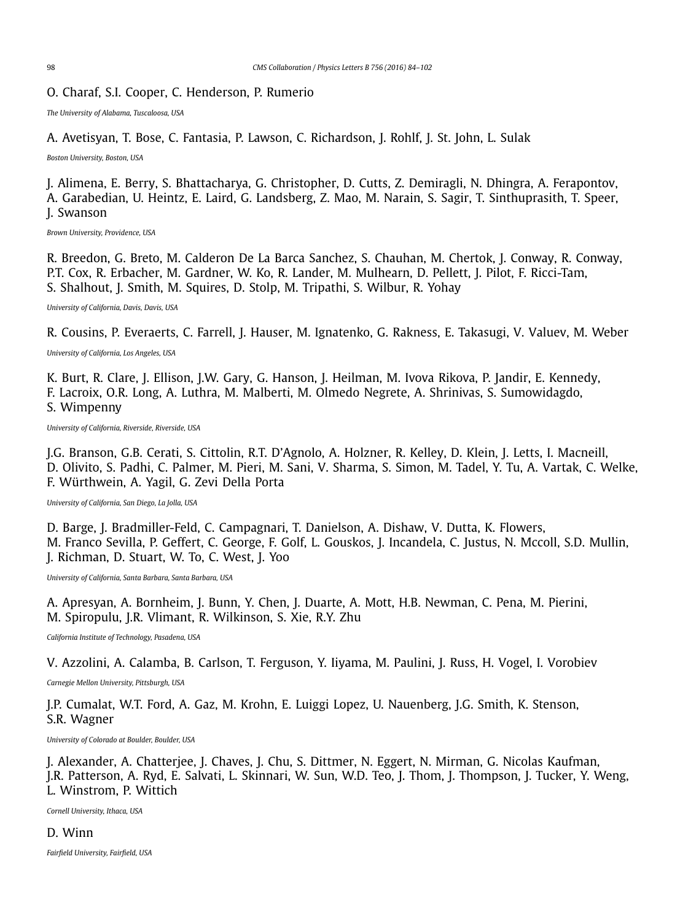## O. Charaf, S.I. Cooper, C. Henderson, P. Rumerio

*The University of Alabama, Tuscaloosa, USA*

A. Avetisyan, T. Bose, C. Fantasia, P. Lawson, C. Richardson, J. Rohlf, J. St. John, L. Sulak

*Boston University, Boston, USA*

J. Alimena, E. Berry, S. Bhattacharya, G. Christopher, D. Cutts, Z. Demiragli, N. Dhingra, A. Ferapontov, A. Garabedian, U. Heintz, E. Laird, G. Landsberg, Z. Mao, M. Narain, S. Sagir, T. Sinthuprasith, T. Speer, J. Swanson

*Brown University, Providence, USA*

R. Breedon, G. Breto, M. Calderon De La Barca Sanchez, S. Chauhan, M. Chertok, J. Conway, R. Conway, P.T. Cox, R. Erbacher, M. Gardner, W. Ko, R. Lander, M. Mulhearn, D. Pellett, J. Pilot, F. Ricci-Tam, S. Shalhout, J. Smith, M. Squires, D. Stolp, M. Tripathi, S. Wilbur, R. Yohay

*University of California, Davis, Davis, USA*

R. Cousins, P. Everaerts, C. Farrell, J. Hauser, M. Ignatenko, G. Rakness, E. Takasugi, V. Valuev, M. Weber

*University of California, Los Angeles, USA*

K. Burt, R. Clare, J. Ellison, J.W. Gary, G. Hanson, J. Heilman, M. Ivova Rikova, P. Jandir, E. Kennedy, F. Lacroix, O.R. Long, A. Luthra, M. Malberti, M. Olmedo Negrete, A. Shrinivas, S. Sumowidagdo, S. Wimpenny

*University of California, Riverside, Riverside, USA*

J.G. Branson, G.B. Cerati, S. Cittolin, R.T. D'Agnolo, A. Holzner, R. Kelley, D. Klein, J. Letts, I. Macneill, D. Olivito, S. Padhi, C. Palmer, M. Pieri, M. Sani, V. Sharma, S. Simon, M. Tadel, Y. Tu, A. Vartak, C. Welke, F. Würthwein, A. Yagil, G. Zevi Della Porta

*University of California, San Diego, La Jolla, USA*

D. Barge, J. Bradmiller-Feld, C. Campagnari, T. Danielson, A. Dishaw, V. Dutta, K. Flowers, M. Franco Sevilla, P. Geffert, C. George, F. Golf, L. Gouskos, J. Incandela, C. Justus, N. Mccoll, S.D. Mullin, J. Richman, D. Stuart, W. To, C. West, J. Yoo

*University of California, Santa Barbara, Santa Barbara, USA*

A. Apresyan, A. Bornheim, J. Bunn, Y. Chen, J. Duarte, A. Mott, H.B. Newman, C. Pena, M. Pierini, M. Spiropulu, J.R. Vlimant, R. Wilkinson, S. Xie, R.Y. Zhu

*California Institute of Technology, Pasadena, USA*

V. Azzolini, A. Calamba, B. Carlson, T. Ferguson, Y. Iiyama, M. Paulini, J. Russ, H. Vogel, I. Vorobiev

*Carnegie Mellon University, Pittsburgh, USA*

J.P. Cumalat, W.T. Ford, A. Gaz, M. Krohn, E. Luiggi Lopez, U. Nauenberg, J.G. Smith, K. Stenson, S.R. Wagner

*University of Colorado at Boulder, Boulder, USA*

J. Alexander, A. Chatterjee, J. Chaves, J. Chu, S. Dittmer, N. Eggert, N. Mirman, G. Nicolas Kaufman, J.R. Patterson, A. Ryd, E. Salvati, L. Skinnari, W. Sun, W.D. Teo, J. Thom, J. Thompson, J. Tucker, Y. Weng, L. Winstrom, P. Wittich

*Cornell University, Ithaca, USA*

D. Winn

*Fairfield University, Fairfield, USA*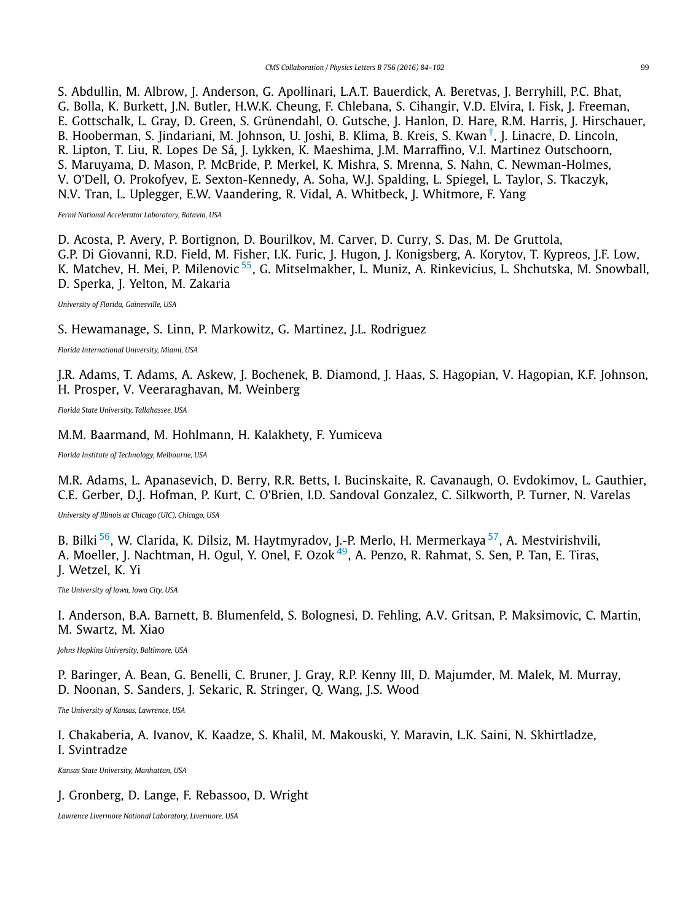S. Abdullin, M. Albrow, J. Anderson, G. Apollinari, L.A.T. Bauerdick, A. Beretvas, J. Berryhill, P.C. Bhat, G. Bolla, K. Burkett, J.N. Butler, H.W.K. Cheung, F. Chlebana, S. Cihangir, V.D. Elvira, I. Fisk, J. Freeman, E. Gottschalk, L. Gray, D. Green, S. Grünendahl, O. Gutsche, J. Hanlon, D. Hare, R.M. Harris, J. Hirschauer, B. Hooberman, S. Jindariani, M. Johnson, U. Joshi, B. Klima, B. Kreis, S. Kwan [†,](#page-17-0) J. Linacre, D. Lincoln, R. Lipton, T. Liu, R. Lopes De Sá, J. Lykken, K. Maeshima, J.M. Marraffino, V.I. Martinez Outschoorn, S. Maruyama, D. Mason, P. McBride, P. Merkel, K. Mishra, S. Mrenna, S. Nahn, C. Newman-Holmes, V. O'Dell, O. Prokofyev, E. Sexton-Kennedy, A. Soha, W.J. Spalding, L. Spiegel, L. Taylor, S. Tkaczyk, N.V. Tran, L. Uplegger, E.W. Vaandering, R. Vidal, A. Whitbeck, J. Whitmore, F. Yang

*Fermi National Accelerator Laboratory, Batavia, USA*

D. Acosta, P. Avery, P. Bortignon, D. Bourilkov, M. Carver, D. Curry, S. Das, M. De Gruttola, G.P. Di Giovanni, R.D. Field, M. Fisher, I.K. Furic, J. Hugon, J. Konigsberg, A. Korytov, T. Kypreos, J.F. Low, K. Matchev, H. Mei, P. Milenovic<sup>55</sup>, G. Mitselmakher, L. Muniz, A. Rinkevicius, L. Shchutska, M. Snowball, D. Sperka, J. Yelton, M. Zakaria

*University of Florida, Gainesville, USA*

S. Hewamanage, S. Linn, P. Markowitz, G. Martinez, J.L. Rodriguez

*Florida International University, Miami, USA*

J.R. Adams, T. Adams, A. Askew, J. Bochenek, B. Diamond, J. Haas, S. Hagopian, V. Hagopian, K.F. Johnson, H. Prosper, V. Veeraraghavan, M. Weinberg

*Florida State University, Tallahassee, USA*

M.M. Baarmand, M. Hohlmann, H. Kalakhety, F. Yumiceva

*Florida Institute of Technology, Melbourne, USA*

M.R. Adams, L. Apanasevich, D. Berry, R.R. Betts, I. Bucinskaite, R. Cavanaugh, O. Evdokimov, L. Gauthier, C.E. Gerber, D.J. Hofman, P. Kurt, C. O'Brien, I.D. Sandoval Gonzalez, C. Silkworth, P. Turner, N. Varelas

*University of Illinois at Chicago (UIC), Chicago, USA*

B. Bilki <sup>56</sup>, W. Clarida, K. Dilsiz, M. Haytmyradov, J.-P. Merlo, H. Mermerkaya <sup>57</sup>, A. Mestvirishvili, A. Moeller, J. Nachtman, H. Ogul, Y. Onel, F. Ozok<sup>49</sup>, A. Penzo, R. Rahmat, S. Sen, P. Tan, E. Tiras, J. Wetzel, K. Yi

*The University of Iowa, Iowa City, USA*

I. Anderson, B.A. Barnett, B. Blumenfeld, S. Bolognesi, D. Fehling, A.V. Gritsan, P. Maksimovic, C. Martin, M. Swartz, M. Xiao

*Johns Hopkins University, Baltimore, USA*

P. Baringer, A. Bean, G. Benelli, C. Bruner, J. Gray, R.P. Kenny III, D. Majumder, M. Malek, M. Murray, D. Noonan, S. Sanders, J. Sekaric, R. Stringer, Q. Wang, J.S. Wood

*The University of Kansas, Lawrence, USA*

I. Chakaberia, A. Ivanov, K. Kaadze, S. Khalil, M. Makouski, Y. Maravin, L.K. Saini, N. Skhirtladze, I. Svintradze

*Kansas State University, Manhattan, USA*

J. Gronberg, D. Lange, F. Rebassoo, D. Wright

*Lawrence Livermore National Laboratory, Livermore, USA*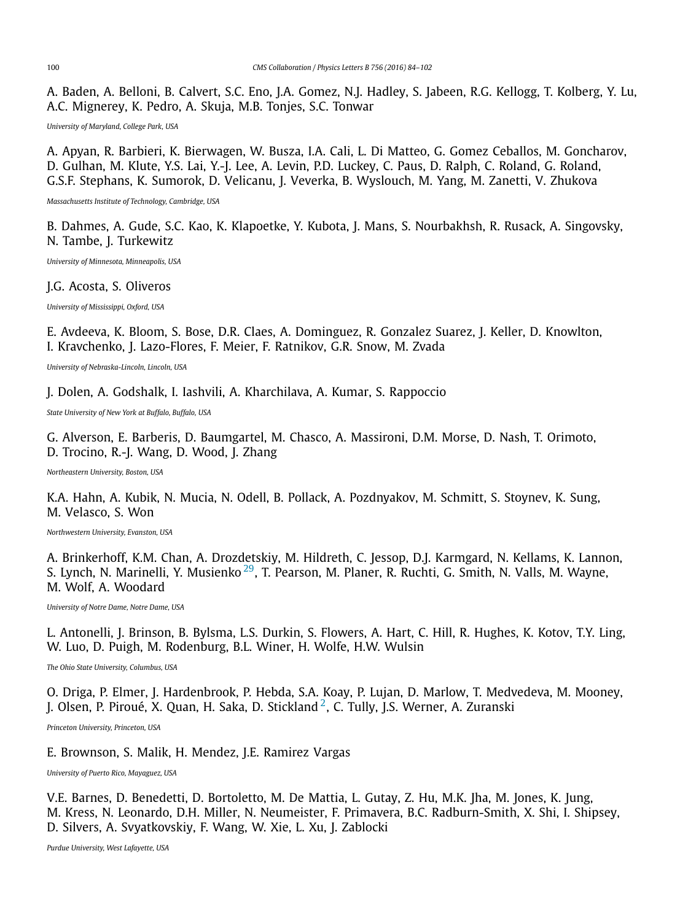A. Baden, A. Belloni, B. Calvert, S.C. Eno, J.A. Gomez, N.J. Hadley, S. Jabeen, R.G. Kellogg, T. Kolberg, Y. Lu, A.C. Mignerey, K. Pedro, A. Skuja, M.B. Tonjes, S.C. Tonwar

*University of Maryland, College Park, USA*

A. Apyan, R. Barbieri, K. Bierwagen, W. Busza, I.A. Cali, L. Di Matteo, G. Gomez Ceballos, M. Goncharov, D. Gulhan, M. Klute, Y.S. Lai, Y.-J. Lee, A. Levin, P.D. Luckey, C. Paus, D. Ralph, C. Roland, G. Roland, G.S.F. Stephans, K. Sumorok, D. Velicanu, J. Veverka, B. Wyslouch, M. Yang, M. Zanetti, V. Zhukova

*Massachusetts Institute of Technology, Cambridge, USA*

B. Dahmes, A. Gude, S.C. Kao, K. Klapoetke, Y. Kubota, J. Mans, S. Nourbakhsh, R. Rusack, A. Singovsky, N. Tambe, J. Turkewitz

*University of Minnesota, Minneapolis, USA*

J.G. Acosta, S. Oliveros

*University of Mississippi, Oxford, USA*

E. Avdeeva, K. Bloom, S. Bose, D.R. Claes, A. Dominguez, R. Gonzalez Suarez, J. Keller, D. Knowlton, I. Kravchenko, J. Lazo-Flores, F. Meier, F. Ratnikov, G.R. Snow, M. Zvada

*University of Nebraska-Lincoln, Lincoln, USA*

J. Dolen, A. Godshalk, I. Iashvili, A. Kharchilava, A. Kumar, S. Rappoccio

*State University of New York at Buffalo, Buffalo, USA*

G. Alverson, E. Barberis, D. Baumgartel, M. Chasco, A. Massironi, D.M. Morse, D. Nash, T. Orimoto, D. Trocino, R.-J. Wang, D. Wood, J. Zhang

*Northeastern University, Boston, USA*

K.A. Hahn, A. Kubik, N. Mucia, N. Odell, B. Pollack, A. Pozdnyakov, M. Schmitt, S. Stoynev, K. Sung, M. Velasco, S. Won

*Northwestern University, Evanston, USA*

A. Brinkerhoff, K.M. Chan, A. Drozdetskiy, M. Hildreth, C. Jessop, D.J. Karmgard, N. Kellams, K. Lannon, S. Lynch, N. Marinelli, Y. Musienko [29,](#page-18-0) T. Pearson, M. Planer, R. Ruchti, G. Smith, N. Valls, M. Wayne, M. Wolf, A. Woodard

*University of Notre Dame, Notre Dame, USA*

L. Antonelli, J. Brinson, B. Bylsma, L.S. Durkin, S. Flowers, A. Hart, C. Hill, R. Hughes, K. Kotov, T.Y. Ling, W. Luo, D. Puigh, M. Rodenburg, B.L. Winer, H. Wolfe, H.W. Wulsin

*The Ohio State University, Columbus, USA*

O. Driga, P. Elmer, J. Hardenbrook, P. Hebda, S.A. Koay, P. Lujan, D. Marlow, T. Medvedeva, M. Mooney, J. Olsen, P. Piroué, X. Quan, H. Saka, D. Stickland<sup>2</sup>, C. Tully, J.S. Werner, A. Zuranski

*Princeton University, Princeton, USA*

E. Brownson, S. Malik, H. Mendez, J.E. Ramirez Vargas

*University of Puerto Rico, Mayaguez, USA*

V.E. Barnes, D. Benedetti, D. Bortoletto, M. De Mattia, L. Gutay, Z. Hu, M.K. Jha, M. Jones, K. Jung, M. Kress, N. Leonardo, D.H. Miller, N. Neumeister, F. Primavera, B.C. Radburn-Smith, X. Shi, I. Shipsey, D. Silvers, A. Svyatkovskiy, F. Wang, W. Xie, L. Xu, J. Zablocki

*Purdue University, West Lafayette, USA*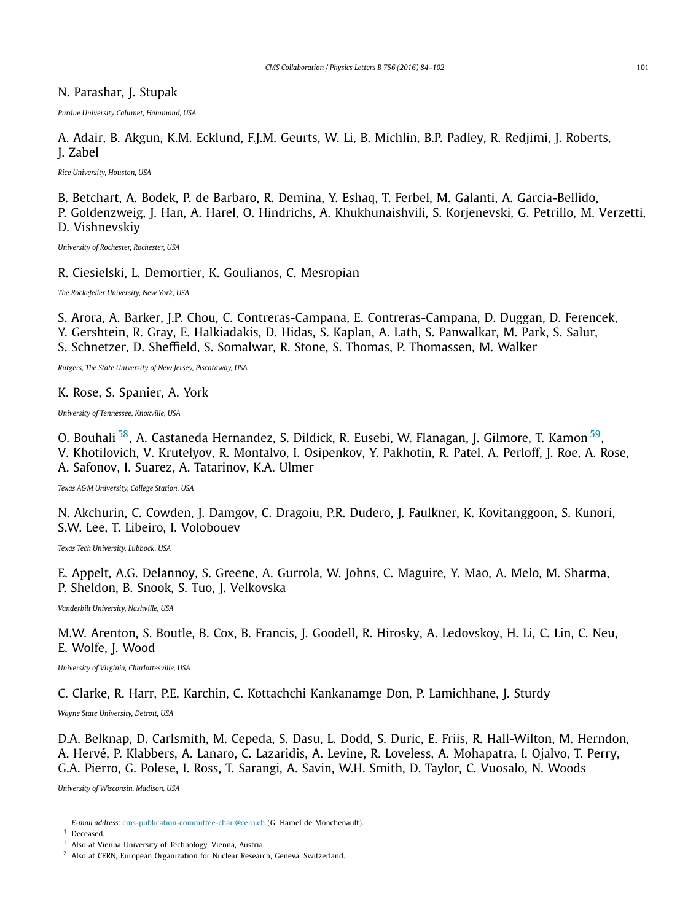## <span id="page-17-0"></span>N. Parashar, J. Stupak

*Purdue University Calumet, Hammond, USA*

A. Adair, B. Akgun, K.M. Ecklund, F.J.M. Geurts, W. Li, B. Michlin, B.P. Padley, R. Redjimi, J. Roberts, J. Zabel

*Rice University, Houston, USA*

B. Betchart, A. Bodek, P. de Barbaro, R. Demina, Y. Eshaq, T. Ferbel, M. Galanti, A. Garcia-Bellido, P. Goldenzweig, J. Han, A. Harel, O. Hindrichs, A. Khukhunaishvili, S. Korjenevski, G. Petrillo, M. Verzetti, D. Vishnevskiy

*University of Rochester, Rochester, USA*

R. Ciesielski, L. Demortier, K. Goulianos, C. Mesropian

*The Rockefeller University, New York, USA*

S. Arora, A. Barker, J.P. Chou, C. Contreras-Campana, E. Contreras-Campana, D. Duggan, D. Ferencek, Y. Gershtein, R. Gray, E. Halkiadakis, D. Hidas, S. Kaplan, A. Lath, S. Panwalkar, M. Park, S. Salur, S. Schnetzer, D. Sheffield, S. Somalwar, R. Stone, S. Thomas, P. Thomassen, M. Walker

*Rutgers, The State University of New Jersey, Piscataway, USA*

K. Rose, S. Spanier, A. York

*University of Tennessee, Knoxville, USA*

O. Bouhali<sup>[58](#page-18-0)</sup>, A. Castaneda Hernandez, S. Dildick, R. Eusebi, W. Flanagan, J. Gilmore, T. Kamon<sup>59</sup>, V. Khotilovich, V. Krutelyov, R. Montalvo, I. Osipenkov, Y. Pakhotin, R. Patel, A. Perloff, J. Roe, A. Rose, A. Safonov, I. Suarez, A. Tatarinov, K.A. Ulmer

*Texas A&M University, College Station, USA*

N. Akchurin, C. Cowden, J. Damgov, C. Dragoiu, P.R. Dudero, J. Faulkner, K. Kovitanggoon, S. Kunori, S.W. Lee, T. Libeiro, I. Volobouev

*Texas Tech University, Lubbock, USA*

E. Appelt, A.G. Delannoy, S. Greene, A. Gurrola, W. Johns, C. Maguire, Y. Mao, A. Melo, M. Sharma, P. Sheldon, B. Snook, S. Tuo, J. Velkovska

*Vanderbilt University, Nashville, USA*

M.W. Arenton, S. Boutle, B. Cox, B. Francis, J. Goodell, R. Hirosky, A. Ledovskoy, H. Li, C. Lin, C. Neu, E. Wolfe, J. Wood

*University of Virginia, Charlottesville, USA*

C. Clarke, R. Harr, P.E. Karchin, C. Kottachchi Kankanamge Don, P. Lamichhane, J. Sturdy

*Wayne State University, Detroit, USA*

D.A. Belknap, D. Carlsmith, M. Cepeda, S. Dasu, L. Dodd, S. Duric, E. Friis, R. Hall-Wilton, M. Herndon, A. Hervé, P. Klabbers, A. Lanaro, C. Lazaridis, A. Levine, R. Loveless, A. Mohapatra, I. Ojalvo, T. Perry, G.A. Pierro, G. Polese, I. Ross, T. Sarangi, A. Savin, W.H. Smith, D. Taylor, C. Vuosalo, N. Woods

*University of Wisconsin, Madison, USA*

*E-mail address:* [cms-publication-committee-chair@cern.ch](mailto:cms-publication-committee-chair@cern.ch) (G. Hamel de Monchenault).

<sup>†</sup> Deceased.

<sup>1</sup> Also at Vienna University of Technology, Vienna, Austria.

<sup>&</sup>lt;sup>2</sup> Also at CERN, European Organization for Nuclear Research, Geneva, Switzerland.